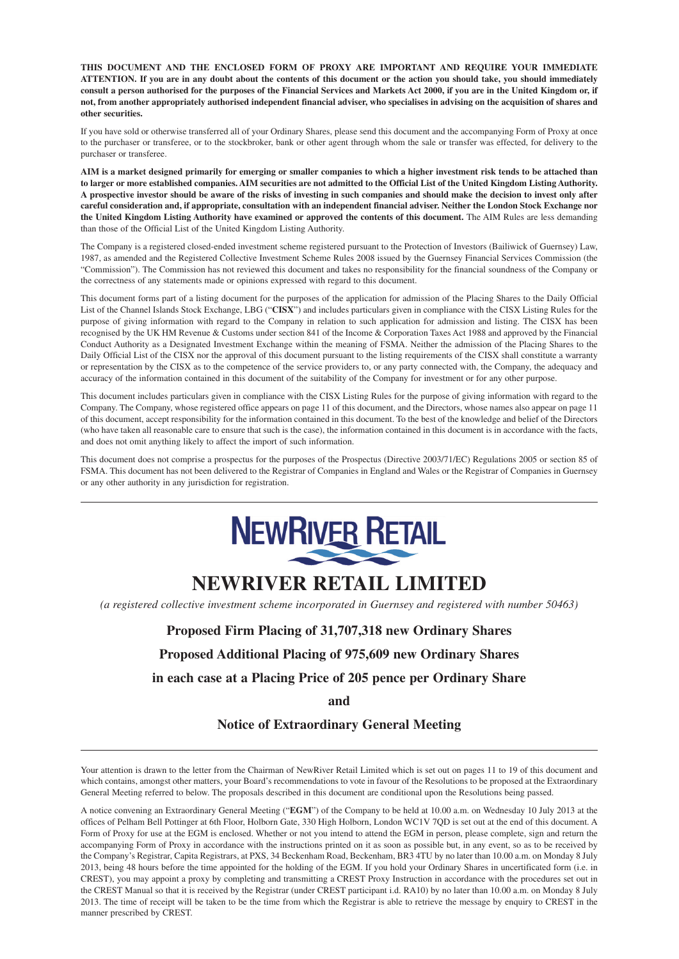**THIS DOCUMENT AND THE ENCLOSED FORM OF PROXY ARE IMPORTANT AND REQUIRE YOUR IMMEDIATE ATTENTION. If you are in any doubt about the contents of this document or the action you should take, you should immediately consult a person authorised for the purposes of the Financial Services and Markets Act 2000, if you are in the United Kingdom or, if not, from another appropriately authorised independent financial adviser, who specialises in advising on the acquisition of shares and other securities.**

If you have sold or otherwise transferred all of your Ordinary Shares, please send this document and the accompanying Form of Proxy at once to the purchaser or transferee, or to the stockbroker, bank or other agent through whom the sale or transfer was effected, for delivery to the purchaser or transferee.

**AIM is a market designed primarily for emerging or smaller companies to which a higher investment risk tends to be attached than to larger or more established companies. AIM securities are not admitted to the Official List of the United Kingdom Listing Authority. A prospective investor should be aware of the risks of investing in such companies and should make the decision to invest only after careful consideration and, if appropriate, consultation with an independent financial adviser. Neither the London Stock Exchange nor the United Kingdom Listing Authority have examined or approved the contents of this document.** The AIM Rules are less demanding than those of the Official List of the United Kingdom Listing Authority.

The Company is a registered closed-ended investment scheme registered pursuant to the Protection of Investors (Bailiwick of Guernsey) Law, 1987, as amended and the Registered Collective Investment Scheme Rules 2008 issued by the Guernsey Financial Services Commission (the "Commission"). The Commission has not reviewed this document and takes no responsibility for the financial soundness of the Company or the correctness of any statements made or opinions expressed with regard to this document.

This document forms part of a listing document for the purposes of the application for admission of the Placing Shares to the Daily Official List of the Channel Islands Stock Exchange, LBG ("**CISX**") and includes particulars given in compliance with the CISX Listing Rules for the purpose of giving information with regard to the Company in relation to such application for admission and listing. The CISX has been recognised by the UK HM Revenue & Customs under section 841 of the Income & Corporation Taxes Act 1988 and approved by the Financial Conduct Authority as a Designated Investment Exchange within the meaning of FSMA. Neither the admission of the Placing Shares to the Daily Official List of the CISX nor the approval of this document pursuant to the listing requirements of the CISX shall constitute a warranty or representation by the CISX as to the competence of the service providers to, or any party connected with, the Company, the adequacy and accuracy of the information contained in this document of the suitability of the Company for investment or for any other purpose.

This document includes particulars given in compliance with the CISX Listing Rules for the purpose of giving information with regard to the Company. The Company, whose registered office appears on page 11 of this document, and the Directors, whose names also appear on page 11 of this document, accept responsibility for the information contained in this document. To the best of the knowledge and belief of the Directors (who have taken all reasonable care to ensure that such is the case), the information contained in this document is in accordance with the facts, and does not omit anything likely to affect the import of such information.

This document does not comprise a prospectus for the purposes of the Prospectus (Directive 2003/71/EC) Regulations 2005 or section 85 of FSMA. This document has not been delivered to the Registrar of Companies in England and Wales or the Registrar of Companies in Guernsey or any other authority in any jurisdiction for registration.



# **NEWRIVER RETAIL LIMITED**

*(a registered collective investment scheme incorporated in Guernsey and registered with number 50463)*

### **Proposed Firm Placing of 31,707,318 new Ordinary Shares**

**Proposed Additional Placing of 975,609 new Ordinary Shares**

**in each case at a Placing Price of 205 pence per Ordinary Share**

**and**

#### **Notice of Extraordinary General Meeting**

Your attention is drawn to the letter from the Chairman of NewRiver Retail Limited which is set out on pages 11 to 19 of this document and which contains, amongst other matters, your Board's recommendations to vote in favour of the Resolutions to be proposed at the Extraordinary General Meeting referred to below. The proposals described in this document are conditional upon the Resolutions being passed.

A notice convening an Extraordinary General Meeting ("**EGM**") of the Company to be held at 10.00 a.m. on Wednesday 10 July 2013 at the offices of Pelham Bell Pottinger at 6th Floor, Holborn Gate, 330 High Holborn, London WC1V 7QD is set out at the end of this document. A Form of Proxy for use at the EGM is enclosed. Whether or not you intend to attend the EGM in person, please complete, sign and return the accompanying Form of Proxy in accordance with the instructions printed on it as soon as possible but, in any event, so as to be received by the Company's Registrar, Capita Registrars, at PXS, 34 Beckenham Road, Beckenham, BR3 4TU by no later than 10.00 a.m. on Monday 8 July 2013, being 48 hours before the time appointed for the holding of the EGM. If you hold your Ordinary Shares in uncertificated form (i.e. in CREST), you may appoint a proxy by completing and transmitting a CREST Proxy Instruction in accordance with the procedures set out in the CREST Manual so that it is received by the Registrar (under CREST participant i.d. RA10) by no later than 10.00 a.m. on Monday 8 July 2013. The time of receipt will be taken to be the time from which the Registrar is able to retrieve the message by enquiry to CREST in the manner prescribed by CREST.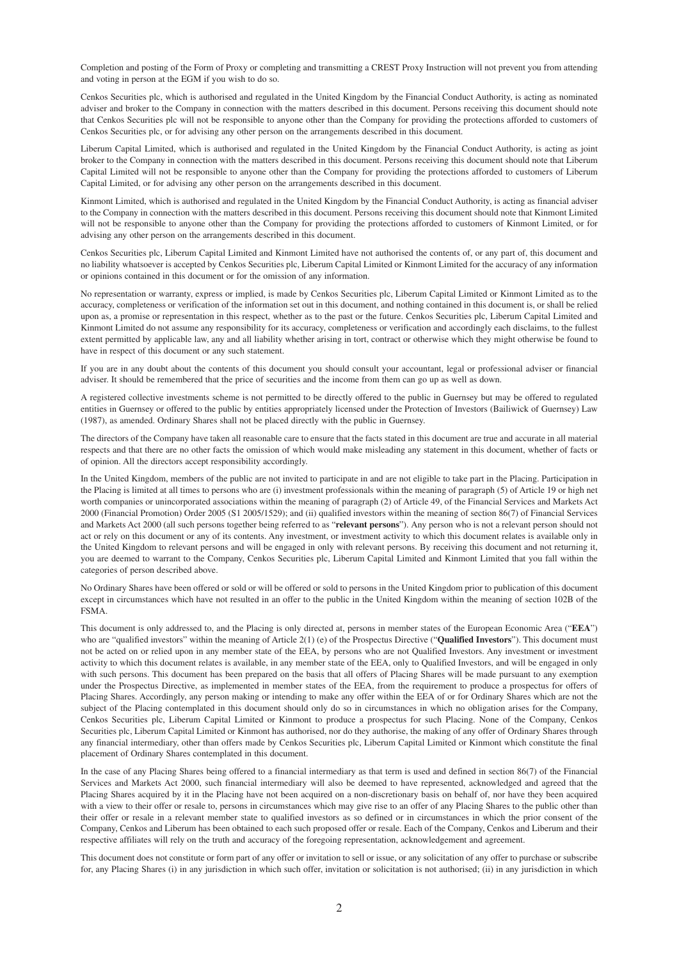Completion and posting of the Form of Proxy or completing and transmitting a CREST Proxy Instruction will not prevent you from attending and voting in person at the EGM if you wish to do so.

Cenkos Securities plc, which is authorised and regulated in the United Kingdom by the Financial Conduct Authority, is acting as nominated adviser and broker to the Company in connection with the matters described in this document. Persons receiving this document should note that Cenkos Securities plc will not be responsible to anyone other than the Company for providing the protections afforded to customers of Cenkos Securities plc, or for advising any other person on the arrangements described in this document.

Liberum Capital Limited, which is authorised and regulated in the United Kingdom by the Financial Conduct Authority, is acting as joint broker to the Company in connection with the matters described in this document. Persons receiving this document should note that Liberum Capital Limited will not be responsible to anyone other than the Company for providing the protections afforded to customers of Liberum Capital Limited, or for advising any other person on the arrangements described in this document.

Kinmont Limited, which is authorised and regulated in the United Kingdom by the Financial Conduct Authority, is acting as financial adviser to the Company in connection with the matters described in this document. Persons receiving this document should note that Kinmont Limited will not be responsible to anyone other than the Company for providing the protections afforded to customers of Kinmont Limited, or for advising any other person on the arrangements described in this document.

Cenkos Securities plc, Liberum Capital Limited and Kinmont Limited have not authorised the contents of, or any part of, this document and no liability whatsoever is accepted by Cenkos Securities plc, Liberum Capital Limited or Kinmont Limited for the accuracy of any information or opinions contained in this document or for the omission of any information.

No representation or warranty, express or implied, is made by Cenkos Securities plc, Liberum Capital Limited or Kinmont Limited as to the accuracy, completeness or verification of the information set out in this document, and nothing contained in this document is, or shall be relied upon as, a promise or representation in this respect, whether as to the past or the future. Cenkos Securities plc, Liberum Capital Limited and Kinmont Limited do not assume any responsibility for its accuracy, completeness or verification and accordingly each disclaims, to the fullest extent permitted by applicable law, any and all liability whether arising in tort, contract or otherwise which they might otherwise be found to have in respect of this document or any such statement.

If you are in any doubt about the contents of this document you should consult your accountant, legal or professional adviser or financial adviser. It should be remembered that the price of securities and the income from them can go up as well as down.

A registered collective investments scheme is not permitted to be directly offered to the public in Guernsey but may be offered to regulated entities in Guernsey or offered to the public by entities appropriately licensed under the Protection of Investors (Bailiwick of Guernsey) Law (1987), as amended. Ordinary Shares shall not be placed directly with the public in Guernsey.

The directors of the Company have taken all reasonable care to ensure that the facts stated in this document are true and accurate in all material respects and that there are no other facts the omission of which would make misleading any statement in this document, whether of facts or of opinion. All the directors accept responsibility accordingly.

In the United Kingdom, members of the public are not invited to participate in and are not eligible to take part in the Placing. Participation in the Placing is limited at all times to persons who are (i) investment professionals within the meaning of paragraph (5) of Article 19 or high net worth companies or unincorporated associations within the meaning of paragraph (2) of Article 49, of the Financial Services and Markets Act 2000 (Financial Promotion) Order 2005 (S1 2005/1529); and (ii) qualified investors within the meaning of section 86(7) of Financial Services and Markets Act 2000 (all such persons together being referred to as "**relevant persons**"). Any person who is not a relevant person should not act or rely on this document or any of its contents. Any investment, or investment activity to which this document relates is available only in the United Kingdom to relevant persons and will be engaged in only with relevant persons. By receiving this document and not returning it, you are deemed to warrant to the Company, Cenkos Securities plc, Liberum Capital Limited and Kinmont Limited that you fall within the categories of person described above.

No Ordinary Shares have been offered or sold or will be offered or sold to persons in the United Kingdom prior to publication of this document except in circumstances which have not resulted in an offer to the public in the United Kingdom within the meaning of section 102B of the FSMA.

This document is only addressed to, and the Placing is only directed at, persons in member states of the European Economic Area ("**EEA**") who are "qualified investors" within the meaning of Article 2(1) (e) of the Prospectus Directive ("**Qualified Investors**"). This document must not be acted on or relied upon in any member state of the EEA, by persons who are not Qualified Investors. Any investment or investment activity to which this document relates is available, in any member state of the EEA, only to Qualified Investors, and will be engaged in only with such persons. This document has been prepared on the basis that all offers of Placing Shares will be made pursuant to any exemption under the Prospectus Directive, as implemented in member states of the EEA, from the requirement to produce a prospectus for offers of Placing Shares. Accordingly, any person making or intending to make any offer within the EEA of or for Ordinary Shares which are not the subject of the Placing contemplated in this document should only do so in circumstances in which no obligation arises for the Company, Cenkos Securities plc, Liberum Capital Limited or Kinmont to produce a prospectus for such Placing. None of the Company, Cenkos Securities plc, Liberum Capital Limited or Kinmont has authorised, nor do they authorise, the making of any offer of Ordinary Shares through any financial intermediary, other than offers made by Cenkos Securities plc, Liberum Capital Limited or Kinmont which constitute the final placement of Ordinary Shares contemplated in this document.

In the case of any Placing Shares being offered to a financial intermediary as that term is used and defined in section 86(7) of the Financial Services and Markets Act 2000, such financial intermediary will also be deemed to have represented, acknowledged and agreed that the Placing Shares acquired by it in the Placing have not been acquired on a non-discretionary basis on behalf of, nor have they been acquired with a view to their offer or resale to, persons in circumstances which may give rise to an offer of any Placing Shares to the public other than their offer or resale in a relevant member state to qualified investors as so defined or in circumstances in which the prior consent of the Company, Cenkos and Liberum has been obtained to each such proposed offer or resale. Each of the Company, Cenkos and Liberum and their respective affiliates will rely on the truth and accuracy of the foregoing representation, acknowledgement and agreement.

This document does not constitute or form part of any offer or invitation to sell or issue, or any solicitation of any offer to purchase or subscribe for, any Placing Shares (i) in any jurisdiction in which such offer, invitation or solicitation is not authorised; (ii) in any jurisdiction in which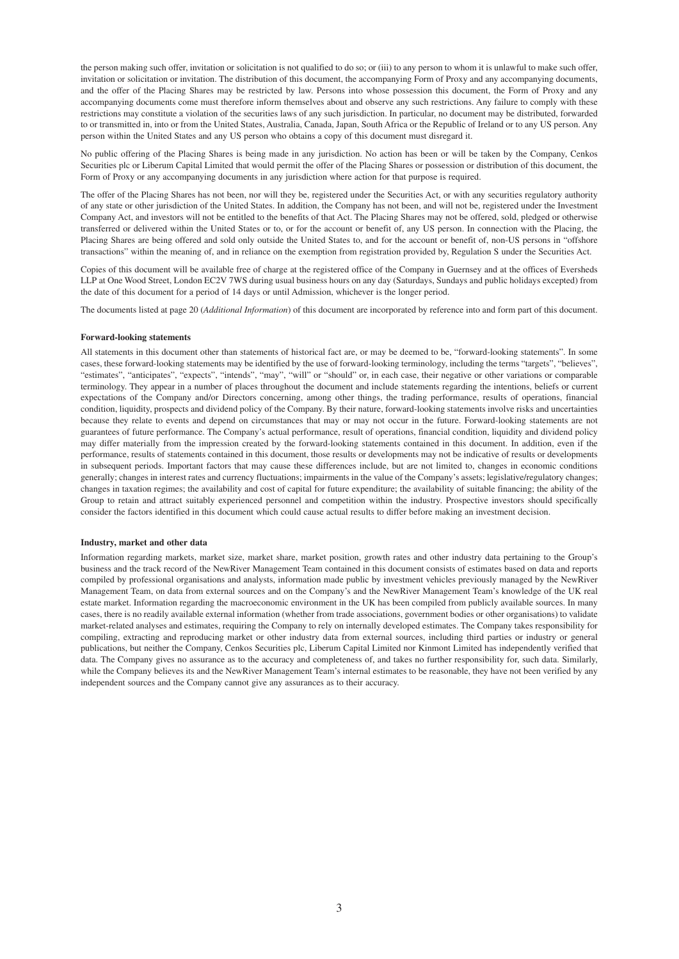the person making such offer, invitation or solicitation is not qualified to do so; or (iii) to any person to whom it is unlawful to make such offer, invitation or solicitation or invitation. The distribution of this document, the accompanying Form of Proxy and any accompanying documents, and the offer of the Placing Shares may be restricted by law. Persons into whose possession this document, the Form of Proxy and any accompanying documents come must therefore inform themselves about and observe any such restrictions. Any failure to comply with these restrictions may constitute a violation of the securities laws of any such jurisdiction. In particular, no document may be distributed, forwarded to or transmitted in, into or from the United States, Australia, Canada, Japan, South Africa or the Republic of Ireland or to any US person. Any person within the United States and any US person who obtains a copy of this document must disregard it.

No public offering of the Placing Shares is being made in any jurisdiction. No action has been or will be taken by the Company, Cenkos Securities plc or Liberum Capital Limited that would permit the offer of the Placing Shares or possession or distribution of this document, the Form of Proxy or any accompanying documents in any jurisdiction where action for that purpose is required.

The offer of the Placing Shares has not been, nor will they be, registered under the Securities Act, or with any securities regulatory authority of any state or other jurisdiction of the United States. In addition, the Company has not been, and will not be, registered under the Investment Company Act, and investors will not be entitled to the benefits of that Act. The Placing Shares may not be offered, sold, pledged or otherwise transferred or delivered within the United States or to, or for the account or benefit of, any US person. In connection with the Placing, the Placing Shares are being offered and sold only outside the United States to, and for the account or benefit of, non-US persons in "offshore transactions" within the meaning of, and in reliance on the exemption from registration provided by, Regulation S under the Securities Act.

Copies of this document will be available free of charge at the registered office of the Company in Guernsey and at the offices of Eversheds LLP at One Wood Street, London EC2V 7WS during usual business hours on any day (Saturdays, Sundays and public holidays excepted) from the date of this document for a period of 14 days or until Admission, whichever is the longer period.

The documents listed at page 20 (*Additional Information*) of this document are incorporated by reference into and form part of this document.

#### **Forward-looking statements**

All statements in this document other than statements of historical fact are, or may be deemed to be, "forward-looking statements". In some cases, these forward-looking statements may be identified by the use of forward-looking terminology, including the terms "targets", "believes", "estimates", "anticipates", "expects", "intends", "may", "will" or "should" or, in each case, their negative or other variations or comparable terminology. They appear in a number of places throughout the document and include statements regarding the intentions, beliefs or current expectations of the Company and/or Directors concerning, among other things, the trading performance, results of operations, financial condition, liquidity, prospects and dividend policy of the Company. By their nature, forward-looking statements involve risks and uncertainties because they relate to events and depend on circumstances that may or may not occur in the future. Forward-looking statements are not guarantees of future performance. The Company's actual performance, result of operations, financial condition, liquidity and dividend policy may differ materially from the impression created by the forward-looking statements contained in this document. In addition, even if the performance, results of statements contained in this document, those results or developments may not be indicative of results or developments in subsequent periods. Important factors that may cause these differences include, but are not limited to, changes in economic conditions generally; changes in interest rates and currency fluctuations; impairments in the value of the Company's assets; legislative/regulatory changes; changes in taxation regimes; the availability and cost of capital for future expenditure; the availability of suitable financing; the ability of the Group to retain and attract suitably experienced personnel and competition within the industry. Prospective investors should specifically consider the factors identified in this document which could cause actual results to differ before making an investment decision.

#### **Industry, market and other data**

Information regarding markets, market size, market share, market position, growth rates and other industry data pertaining to the Group's business and the track record of the NewRiver Management Team contained in this document consists of estimates based on data and reports compiled by professional organisations and analysts, information made public by investment vehicles previously managed by the NewRiver Management Team, on data from external sources and on the Company's and the NewRiver Management Team's knowledge of the UK real estate market. Information regarding the macroeconomic environment in the UK has been compiled from publicly available sources. In many cases, there is no readily available external information (whether from trade associations, government bodies or other organisations) to validate market-related analyses and estimates, requiring the Company to rely on internally developed estimates. The Company takes responsibility for compiling, extracting and reproducing market or other industry data from external sources, including third parties or industry or general publications, but neither the Company, Cenkos Securities plc, Liberum Capital Limited nor Kinmont Limited has independently verified that data. The Company gives no assurance as to the accuracy and completeness of, and takes no further responsibility for, such data. Similarly, while the Company believes its and the NewRiver Management Team's internal estimates to be reasonable, they have not been verified by any independent sources and the Company cannot give any assurances as to their accuracy.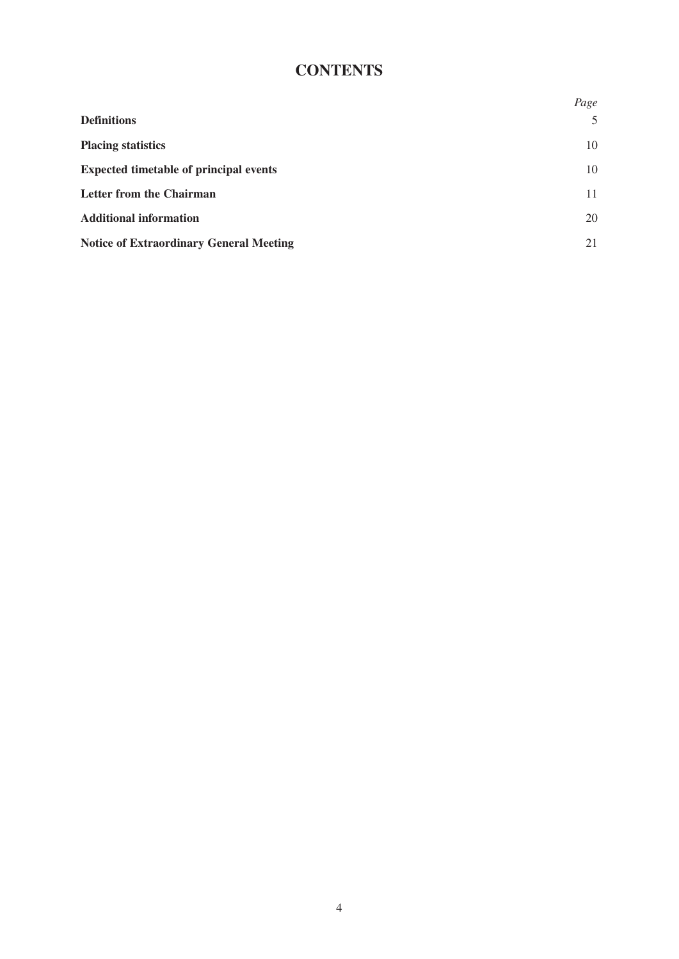# **CONTENTS**

|                                                | Page |
|------------------------------------------------|------|
| <b>Definitions</b>                             | 5    |
| <b>Placing statistics</b>                      | 10   |
| <b>Expected timetable of principal events</b>  | 10   |
| Letter from the Chairman                       | 11   |
| <b>Additional information</b>                  | 20   |
| <b>Notice of Extraordinary General Meeting</b> | 21   |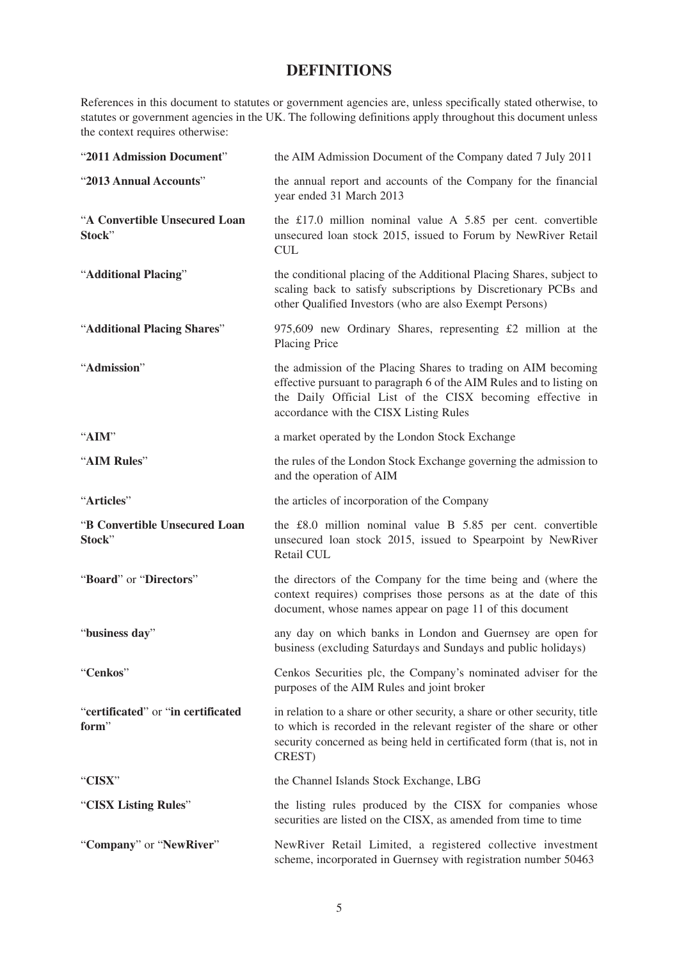### **DEFINITIONS**

References in this document to statutes or government agencies are, unless specifically stated otherwise, to statutes or government agencies in the UK. The following definitions apply throughout this document unless the context requires otherwise:

| "2011 Admission Document"                   | the AIM Admission Document of the Company dated 7 July 2011                                                                                                                                                                                   |
|---------------------------------------------|-----------------------------------------------------------------------------------------------------------------------------------------------------------------------------------------------------------------------------------------------|
| "2013 Annual Accounts"                      | the annual report and accounts of the Company for the financial<br>year ended 31 March 2013                                                                                                                                                   |
| "A Convertible Unsecured Loan<br>Stock"     | the £17.0 million nominal value A $5.85$ per cent. convertible<br>unsecured loan stock 2015, issued to Forum by NewRiver Retail<br><b>CUL</b>                                                                                                 |
| "Additional Placing"                        | the conditional placing of the Additional Placing Shares, subject to<br>scaling back to satisfy subscriptions by Discretionary PCBs and<br>other Qualified Investors (who are also Exempt Persons)                                            |
| "Additional Placing Shares"                 | 975,609 new Ordinary Shares, representing $£2$ million at the<br><b>Placing Price</b>                                                                                                                                                         |
| "Admission"                                 | the admission of the Placing Shares to trading on AIM becoming<br>effective pursuant to paragraph 6 of the AIM Rules and to listing on<br>the Daily Official List of the CISX becoming effective in<br>accordance with the CISX Listing Rules |
| "AIM"                                       | a market operated by the London Stock Exchange                                                                                                                                                                                                |
| "AIM Rules"                                 | the rules of the London Stock Exchange governing the admission to<br>and the operation of AIM                                                                                                                                                 |
| "Articles"                                  | the articles of incorporation of the Company                                                                                                                                                                                                  |
| "B Convertible Unsecured Loan<br>Stock"     | the £8.0 million nominal value B 5.85 per cent. convertible<br>unsecured loan stock 2015, issued to Spearpoint by NewRiver<br>Retail CUL                                                                                                      |
| "Board" or "Directors"                      | the directors of the Company for the time being and (where the<br>context requires) comprises those persons as at the date of this<br>document, whose names appear on page 11 of this document                                                |
| "business day"                              | any day on which banks in London and Guernsey are open for<br>business (excluding Saturdays and Sundays and public holidays)                                                                                                                  |
| "Cenkos"                                    | Cenkos Securities plc, the Company's nominated adviser for the<br>purposes of the AIM Rules and joint broker                                                                                                                                  |
| "certificated" or "in certificated<br>form" | in relation to a share or other security, a share or other security, title<br>to which is recorded in the relevant register of the share or other<br>security concerned as being held in certificated form (that is, not in<br>CREST)         |
| "CISX"                                      | the Channel Islands Stock Exchange, LBG                                                                                                                                                                                                       |
| "CISX Listing Rules"                        | the listing rules produced by the CISX for companies whose<br>securities are listed on the CISX, as amended from time to time                                                                                                                 |
| "Company" or "NewRiver"                     | NewRiver Retail Limited, a registered collective investment<br>scheme, incorporated in Guernsey with registration number 50463                                                                                                                |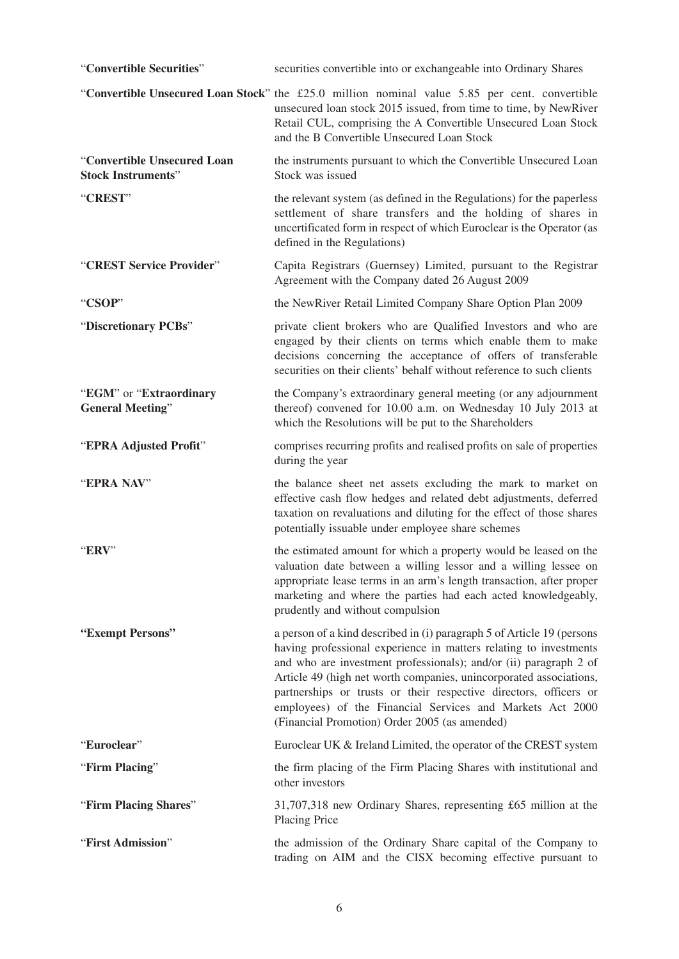| "Convertible Securities"                                 | securities convertible into or exchangeable into Ordinary Shares                                                                                                                                                                                                                                                                                                                                                                                                          |
|----------------------------------------------------------|---------------------------------------------------------------------------------------------------------------------------------------------------------------------------------------------------------------------------------------------------------------------------------------------------------------------------------------------------------------------------------------------------------------------------------------------------------------------------|
|                                                          | "Convertible Unsecured Loan Stock" the £25.0 million nominal value 5.85 per cent. convertible<br>unsecured loan stock 2015 issued, from time to time, by NewRiver<br>Retail CUL, comprising the A Convertible Unsecured Loan Stock<br>and the B Convertible Unsecured Loan Stock                                                                                                                                                                                          |
| "Convertible Unsecured Loan<br><b>Stock Instruments"</b> | the instruments pursuant to which the Convertible Unsecured Loan<br>Stock was issued                                                                                                                                                                                                                                                                                                                                                                                      |
| "CREST"                                                  | the relevant system (as defined in the Regulations) for the paperless<br>settlement of share transfers and the holding of shares in<br>uncertificated form in respect of which Euroclear is the Operator (as<br>defined in the Regulations)                                                                                                                                                                                                                               |
| "CREST Service Provider"                                 | Capita Registrars (Guernsey) Limited, pursuant to the Registrar<br>Agreement with the Company dated 26 August 2009                                                                                                                                                                                                                                                                                                                                                        |
| "CSOP"                                                   | the NewRiver Retail Limited Company Share Option Plan 2009                                                                                                                                                                                                                                                                                                                                                                                                                |
| "Discretionary PCBs"                                     | private client brokers who are Qualified Investors and who are<br>engaged by their clients on terms which enable them to make<br>decisions concerning the acceptance of offers of transferable<br>securities on their clients' behalf without reference to such clients                                                                                                                                                                                                   |
| "EGM" or "Extraordinary<br><b>General Meeting"</b>       | the Company's extraordinary general meeting (or any adjournment<br>thereof) convened for 10.00 a.m. on Wednesday 10 July 2013 at<br>which the Resolutions will be put to the Shareholders                                                                                                                                                                                                                                                                                 |
| "EPRA Adjusted Profit"                                   | comprises recurring profits and realised profits on sale of properties<br>during the year                                                                                                                                                                                                                                                                                                                                                                                 |
| "EPRA NAV"                                               | the balance sheet net assets excluding the mark to market on<br>effective cash flow hedges and related debt adjustments, deferred<br>taxation on revaluations and diluting for the effect of those shares<br>potentially issuable under employee share schemes                                                                                                                                                                                                            |
| "ERV"                                                    | the estimated amount for which a property would be leased on the<br>valuation date between a willing lessor and a willing lessee on<br>appropriate lease terms in an arm's length transaction, after proper<br>marketing and where the parties had each acted knowledgeably,<br>prudently and without compulsion                                                                                                                                                          |
| "Exempt Persons"                                         | a person of a kind described in (i) paragraph 5 of Article 19 (persons<br>having professional experience in matters relating to investments<br>and who are investment professionals); and/or (ii) paragraph 2 of<br>Article 49 (high net worth companies, unincorporated associations,<br>partnerships or trusts or their respective directors, officers or<br>employees) of the Financial Services and Markets Act 2000<br>(Financial Promotion) Order 2005 (as amended) |
| "Euroclear"                                              | Euroclear UK & Ireland Limited, the operator of the CREST system                                                                                                                                                                                                                                                                                                                                                                                                          |
| "Firm Placing"                                           | the firm placing of the Firm Placing Shares with institutional and<br>other investors                                                                                                                                                                                                                                                                                                                                                                                     |
| "Firm Placing Shares"                                    | 31,707,318 new Ordinary Shares, representing £65 million at the<br><b>Placing Price</b>                                                                                                                                                                                                                                                                                                                                                                                   |
| "First Admission"                                        | the admission of the Ordinary Share capital of the Company to<br>trading on AIM and the CISX becoming effective pursuant to                                                                                                                                                                                                                                                                                                                                               |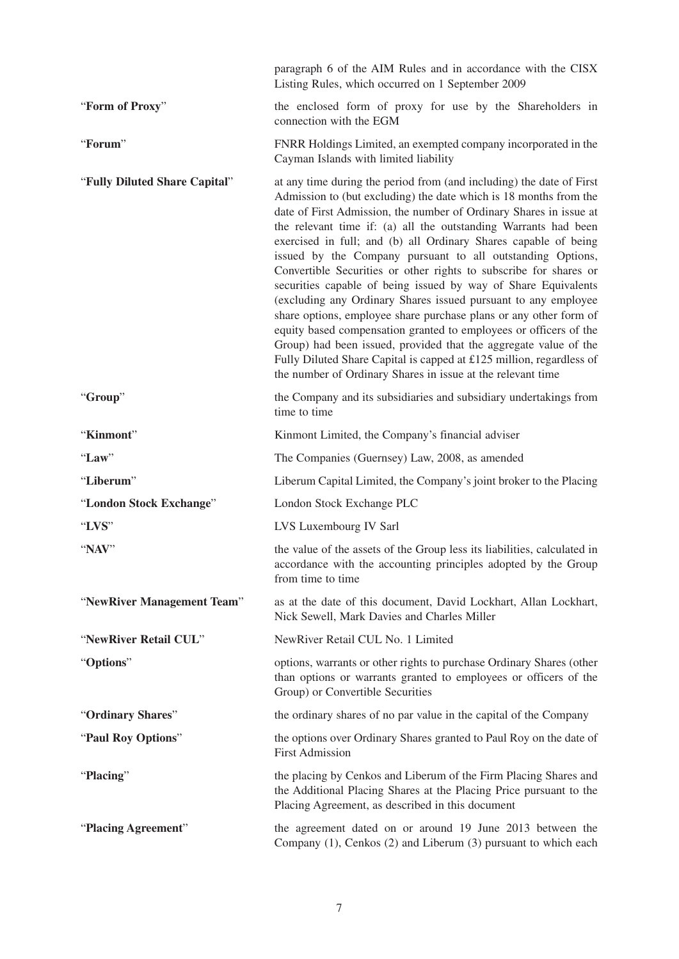|                               | paragraph 6 of the AIM Rules and in accordance with the CISX<br>Listing Rules, which occurred on 1 September 2009                                                                                                                                                                                                                                                                                                                                                                                                                                                                                                                                                                                                                                                                                                                                                                                                                                                                 |
|-------------------------------|-----------------------------------------------------------------------------------------------------------------------------------------------------------------------------------------------------------------------------------------------------------------------------------------------------------------------------------------------------------------------------------------------------------------------------------------------------------------------------------------------------------------------------------------------------------------------------------------------------------------------------------------------------------------------------------------------------------------------------------------------------------------------------------------------------------------------------------------------------------------------------------------------------------------------------------------------------------------------------------|
| "Form of Proxy"               | the enclosed form of proxy for use by the Shareholders in<br>connection with the EGM                                                                                                                                                                                                                                                                                                                                                                                                                                                                                                                                                                                                                                                                                                                                                                                                                                                                                              |
| "Forum"                       | FNRR Holdings Limited, an exempted company incorporated in the<br>Cayman Islands with limited liability                                                                                                                                                                                                                                                                                                                                                                                                                                                                                                                                                                                                                                                                                                                                                                                                                                                                           |
| "Fully Diluted Share Capital" | at any time during the period from (and including) the date of First<br>Admission to (but excluding) the date which is 18 months from the<br>date of First Admission, the number of Ordinary Shares in issue at<br>the relevant time if: (a) all the outstanding Warrants had been<br>exercised in full; and (b) all Ordinary Shares capable of being<br>issued by the Company pursuant to all outstanding Options,<br>Convertible Securities or other rights to subscribe for shares or<br>securities capable of being issued by way of Share Equivalents<br>(excluding any Ordinary Shares issued pursuant to any employee<br>share options, employee share purchase plans or any other form of<br>equity based compensation granted to employees or officers of the<br>Group) had been issued, provided that the aggregate value of the<br>Fully Diluted Share Capital is capped at £125 million, regardless of<br>the number of Ordinary Shares in issue at the relevant time |
| "Group"                       | the Company and its subsidiaries and subsidiary undertakings from<br>time to time                                                                                                                                                                                                                                                                                                                                                                                                                                                                                                                                                                                                                                                                                                                                                                                                                                                                                                 |
| "Kinmont"                     | Kinmont Limited, the Company's financial adviser                                                                                                                                                                                                                                                                                                                                                                                                                                                                                                                                                                                                                                                                                                                                                                                                                                                                                                                                  |
| "Law"                         | The Companies (Guernsey) Law, 2008, as amended                                                                                                                                                                                                                                                                                                                                                                                                                                                                                                                                                                                                                                                                                                                                                                                                                                                                                                                                    |
| "Liberum"                     | Liberum Capital Limited, the Company's joint broker to the Placing                                                                                                                                                                                                                                                                                                                                                                                                                                                                                                                                                                                                                                                                                                                                                                                                                                                                                                                |
| "London Stock Exchange"       | London Stock Exchange PLC                                                                                                                                                                                                                                                                                                                                                                                                                                                                                                                                                                                                                                                                                                                                                                                                                                                                                                                                                         |
| "LVS"                         | LVS Luxembourg IV Sarl                                                                                                                                                                                                                                                                                                                                                                                                                                                                                                                                                                                                                                                                                                                                                                                                                                                                                                                                                            |
| "NAV"                         | the value of the assets of the Group less its liabilities, calculated in<br>accordance with the accounting principles adopted by the Group<br>from time to time                                                                                                                                                                                                                                                                                                                                                                                                                                                                                                                                                                                                                                                                                                                                                                                                                   |
| "NewRiver Management Team"    | as at the date of this document, David Lockhart, Allan Lockhart,<br>Nick Sewell, Mark Davies and Charles Miller                                                                                                                                                                                                                                                                                                                                                                                                                                                                                                                                                                                                                                                                                                                                                                                                                                                                   |
| "NewRiver Retail CUL"         | NewRiver Retail CUL No. 1 Limited                                                                                                                                                                                                                                                                                                                                                                                                                                                                                                                                                                                                                                                                                                                                                                                                                                                                                                                                                 |
| "Options"                     | options, warrants or other rights to purchase Ordinary Shares (other<br>than options or warrants granted to employees or officers of the<br>Group) or Convertible Securities                                                                                                                                                                                                                                                                                                                                                                                                                                                                                                                                                                                                                                                                                                                                                                                                      |
| "Ordinary Shares"             | the ordinary shares of no par value in the capital of the Company                                                                                                                                                                                                                                                                                                                                                                                                                                                                                                                                                                                                                                                                                                                                                                                                                                                                                                                 |
| "Paul Roy Options"            | the options over Ordinary Shares granted to Paul Roy on the date of<br><b>First Admission</b>                                                                                                                                                                                                                                                                                                                                                                                                                                                                                                                                                                                                                                                                                                                                                                                                                                                                                     |
| "Placing"                     | the placing by Cenkos and Liberum of the Firm Placing Shares and<br>the Additional Placing Shares at the Placing Price pursuant to the<br>Placing Agreement, as described in this document                                                                                                                                                                                                                                                                                                                                                                                                                                                                                                                                                                                                                                                                                                                                                                                        |
| "Placing Agreement"           | the agreement dated on or around 19 June 2013 between the<br>Company (1), Cenkos (2) and Liberum (3) pursuant to which each                                                                                                                                                                                                                                                                                                                                                                                                                                                                                                                                                                                                                                                                                                                                                                                                                                                       |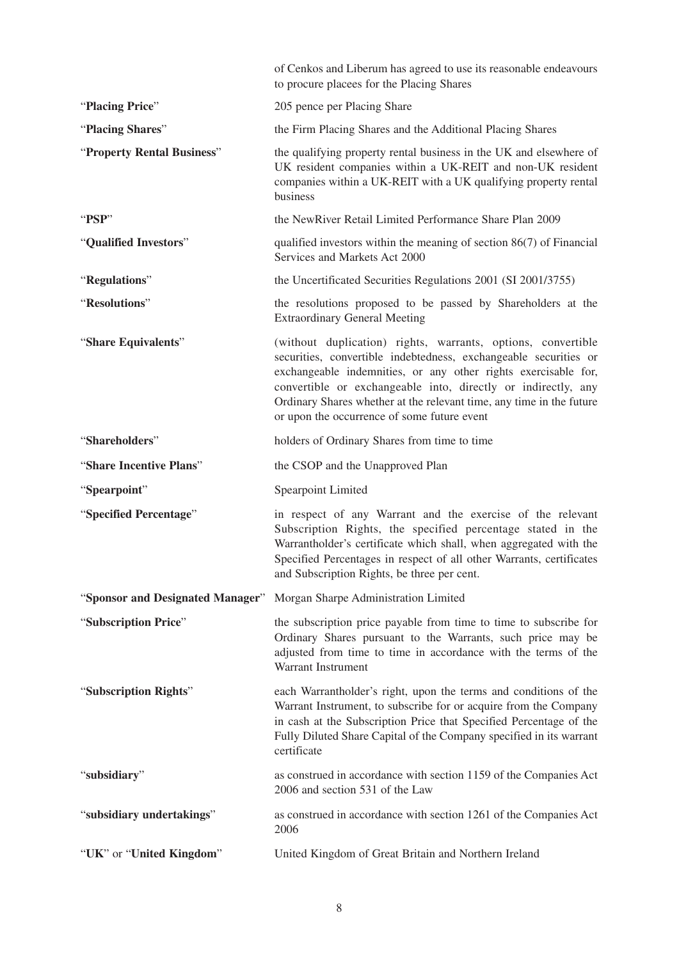|                                  | of Cenkos and Liberum has agreed to use its reasonable endeavours<br>to procure placees for the Placing Shares                                                                                                                                                                                                                                                                             |
|----------------------------------|--------------------------------------------------------------------------------------------------------------------------------------------------------------------------------------------------------------------------------------------------------------------------------------------------------------------------------------------------------------------------------------------|
| "Placing Price"                  | 205 pence per Placing Share                                                                                                                                                                                                                                                                                                                                                                |
| "Placing Shares"                 | the Firm Placing Shares and the Additional Placing Shares                                                                                                                                                                                                                                                                                                                                  |
| "Property Rental Business"       | the qualifying property rental business in the UK and elsewhere of<br>UK resident companies within a UK-REIT and non-UK resident<br>companies within a UK-REIT with a UK qualifying property rental<br>business                                                                                                                                                                            |
| "PSP"                            | the NewRiver Retail Limited Performance Share Plan 2009                                                                                                                                                                                                                                                                                                                                    |
| "Qualified Investors"            | qualified investors within the meaning of section $86(7)$ of Financial<br>Services and Markets Act 2000                                                                                                                                                                                                                                                                                    |
| "Regulations"                    | the Uncertificated Securities Regulations 2001 (SI 2001/3755)                                                                                                                                                                                                                                                                                                                              |
| "Resolutions"                    | the resolutions proposed to be passed by Shareholders at the<br><b>Extraordinary General Meeting</b>                                                                                                                                                                                                                                                                                       |
| "Share Equivalents"              | (without duplication) rights, warrants, options, convertible<br>securities, convertible indebtedness, exchangeable securities or<br>exchangeable indemnities, or any other rights exercisable for,<br>convertible or exchangeable into, directly or indirectly, any<br>Ordinary Shares whether at the relevant time, any time in the future<br>or upon the occurrence of some future event |
| "Shareholders"                   | holders of Ordinary Shares from time to time                                                                                                                                                                                                                                                                                                                                               |
| "Share Incentive Plans"          | the CSOP and the Unapproved Plan                                                                                                                                                                                                                                                                                                                                                           |
| "Spearpoint"                     | <b>Spearpoint Limited</b>                                                                                                                                                                                                                                                                                                                                                                  |
| "Specified Percentage"           | in respect of any Warrant and the exercise of the relevant<br>Subscription Rights, the specified percentage stated in the<br>Warrantholder's certificate which shall, when aggregated with the<br>Specified Percentages in respect of all other Warrants, certificates<br>and Subscription Rights, be three per cent.                                                                      |
| "Sponsor and Designated Manager" | Morgan Sharpe Administration Limited                                                                                                                                                                                                                                                                                                                                                       |
| "Subscription Price"             | the subscription price payable from time to time to subscribe for<br>Ordinary Shares pursuant to the Warrants, such price may be<br>adjusted from time to time in accordance with the terms of the<br>Warrant Instrument                                                                                                                                                                   |
| "Subscription Rights"            | each Warrantholder's right, upon the terms and conditions of the<br>Warrant Instrument, to subscribe for or acquire from the Company<br>in cash at the Subscription Price that Specified Percentage of the<br>Fully Diluted Share Capital of the Company specified in its warrant<br>certificate                                                                                           |
| "subsidiary"                     | as construed in accordance with section 1159 of the Companies Act<br>2006 and section 531 of the Law                                                                                                                                                                                                                                                                                       |
| "subsidiary undertakings"        | as construed in accordance with section 1261 of the Companies Act<br>2006                                                                                                                                                                                                                                                                                                                  |
| "UK" or "United Kingdom"         | United Kingdom of Great Britain and Northern Ireland                                                                                                                                                                                                                                                                                                                                       |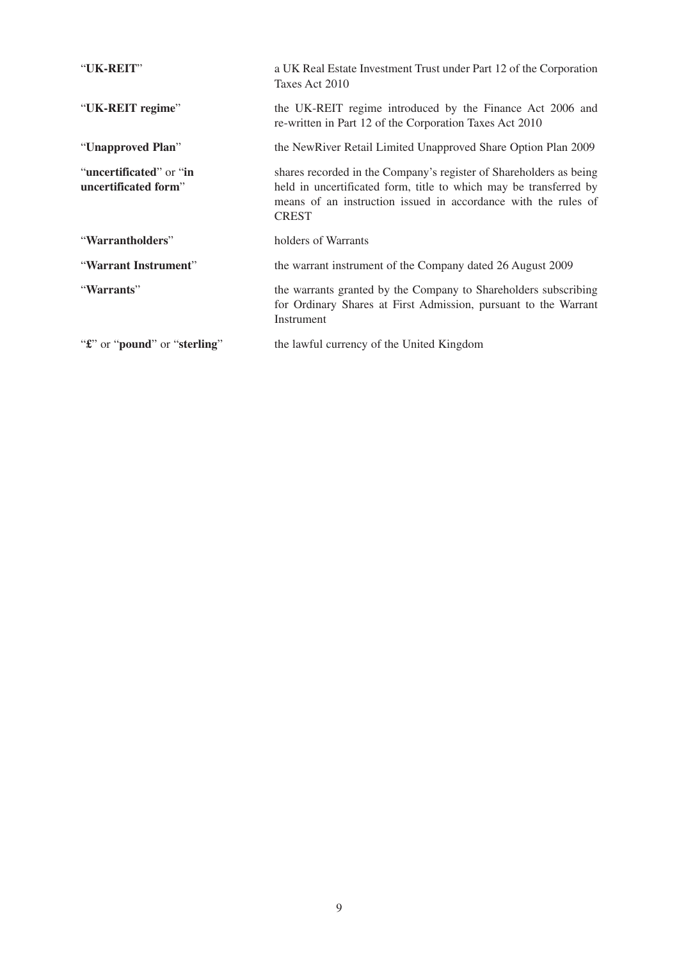| "UK-REIT"                                               | a UK Real Estate Investment Trust under Part 12 of the Corporation<br>Taxes Act 2010                                                                                                                                      |
|---------------------------------------------------------|---------------------------------------------------------------------------------------------------------------------------------------------------------------------------------------------------------------------------|
| "UK-REIT regime"                                        | the UK-REIT regime introduced by the Finance Act 2006 and<br>re-written in Part 12 of the Corporation Taxes Act 2010                                                                                                      |
| "Unapproved Plan"                                       | the NewRiver Retail Limited Unapproved Share Option Plan 2009                                                                                                                                                             |
| "uncertificated" or "in<br>uncertificated form"         | shares recorded in the Company's register of Shareholders as being<br>held in uncertificated form, title to which may be transferred by<br>means of an instruction issued in accordance with the rules of<br><b>CREST</b> |
| "Warrantholders"                                        | holders of Warrants                                                                                                                                                                                                       |
| "Warrant Instrument"                                    | the warrant instrument of the Company dated 26 August 2009                                                                                                                                                                |
| "Warrants"                                              | the warrants granted by the Company to Shareholders subscribing<br>for Ordinary Shares at First Admission, pursuant to the Warrant<br>Instrument                                                                          |
| " <b>£</b> " or " <b>pound</b> " or " <b>sterling</b> " | the lawful currency of the United Kingdom                                                                                                                                                                                 |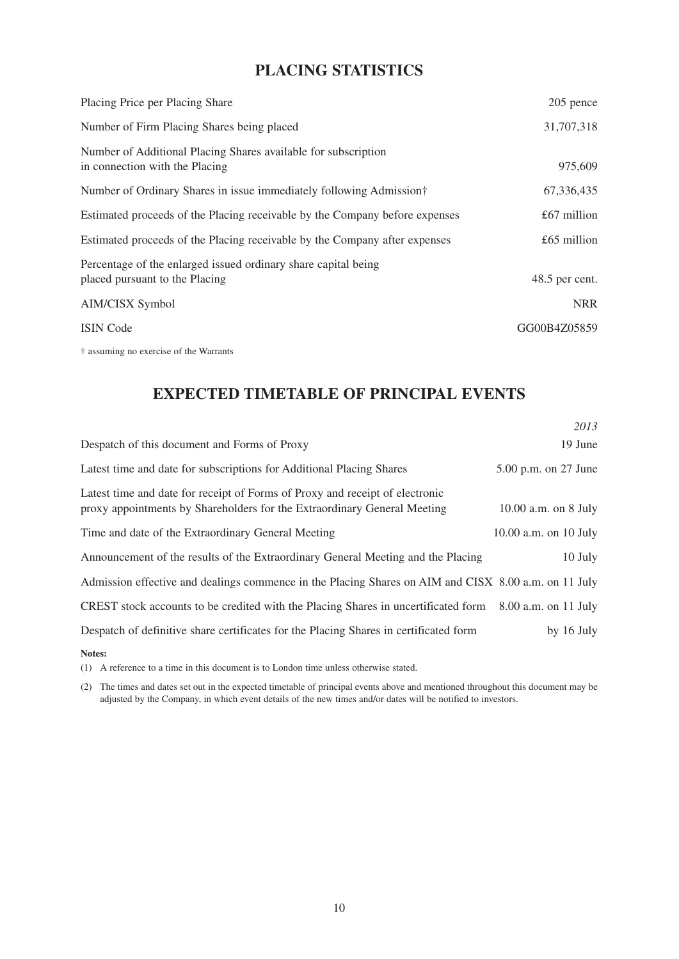## **PLACING STATISTICS**

| Placing Price per Placing Share                                                                  | 205 pence      |
|--------------------------------------------------------------------------------------------------|----------------|
| Number of Firm Placing Shares being placed                                                       | 31,707,318     |
| Number of Additional Placing Shares available for subscription<br>in connection with the Placing | 975,609        |
| Number of Ordinary Shares in issue immediately following Admission†                              | 67,336,435     |
| Estimated proceeds of the Placing receivable by the Company before expenses                      | $£67$ million  |
| Estimated proceeds of the Placing receivable by the Company after expenses                       | $£65$ million  |
| Percentage of the enlarged issued ordinary share capital being<br>placed pursuant to the Placing | 48.5 per cent. |
| AIM/CISX Symbol                                                                                  | <b>NRR</b>     |
| <b>ISIN</b> Code                                                                                 | GG00B4Z05859   |
| † assuming no exercise of the Warrants                                                           |                |

### **EXPECTED TIMETABLE OF PRINCIPAL EVENTS**

|                                                                                                                                                          | 2013                      |
|----------------------------------------------------------------------------------------------------------------------------------------------------------|---------------------------|
| Despatch of this document and Forms of Proxy                                                                                                             | 19 June                   |
| Latest time and date for subscriptions for Additional Placing Shares                                                                                     | 5.00 p.m. on 27 June      |
| Latest time and date for receipt of Forms of Proxy and receipt of electronic<br>proxy appointments by Shareholders for the Extraordinary General Meeting | $10.00$ a.m. on 8 July    |
| Time and date of the Extraordinary General Meeting                                                                                                       | $10.00$ a.m. on $10$ July |
| Announcement of the results of the Extraordinary General Meeting and the Placing                                                                         | 10 July                   |
| Admission effective and dealings commence in the Placing Shares on AIM and CISX 8.00 a.m. on 11 July                                                     |                           |
| CREST stock accounts to be credited with the Placing Shares in uncertificated form                                                                       | 8.00 a.m. on 11 July      |
| Despatch of definitive share certificates for the Placing Shares in certificated form                                                                    | by 16 July                |
| Notes:                                                                                                                                                   |                           |

(1) A reference to a time in this document is to London time unless otherwise stated.

(2) The times and dates set out in the expected timetable of principal events above and mentioned throughout this document may be adjusted by the Company, in which event details of the new times and/or dates will be notified to investors.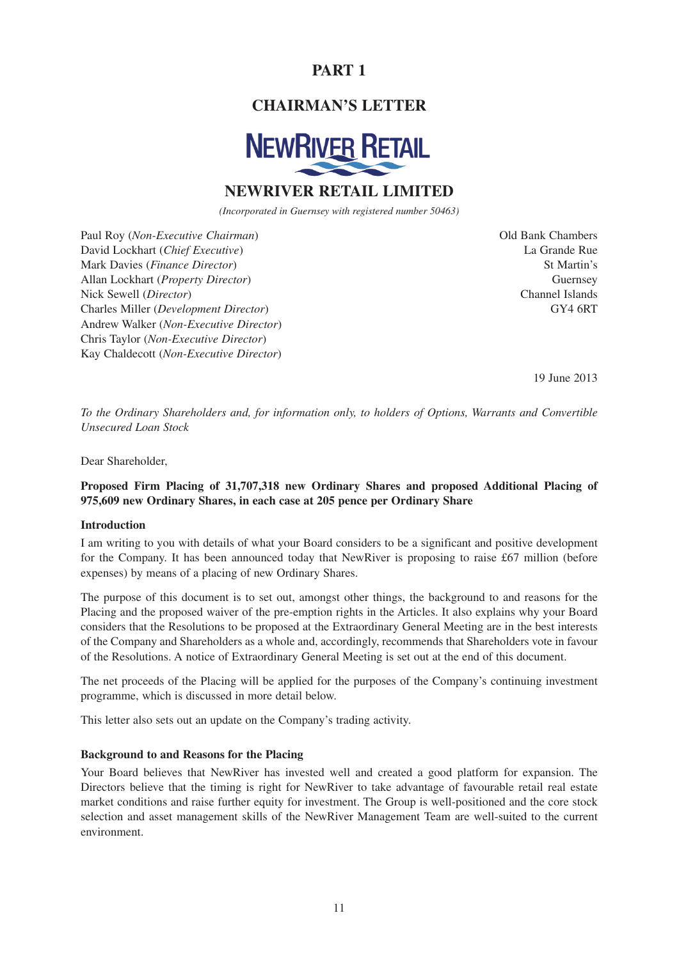## **PART 1**

### **CHAIRMAN'S LETTER**



### **NEWRIVER RETAIL LIMITED**

*(Incorporated in Guernsey with registered number 50463)*

Paul Roy (*Non-Executive Chairman*) David Lockhart (*Chief Executive*) Mark Davies (*Finance Director*) Allan Lockhart (*Property Director*) Nick Sewell (*Director*) Charles Miller (*Development Director*) Andrew Walker (*Non-Executive Director*) Chris Taylor (*Non-Executive Director*) Kay Chaldecott (*Non-Executive Director*)

Old Bank Chambers La Grande Rue St Martin's Guernsey Channel Islands GY4 6RT

19 June 2013

*To the Ordinary Shareholders and, for information only, to holders of Options, Warrants and Convertible Unsecured Loan Stock*

Dear Shareholder,

### **Proposed Firm Placing of 31,707,318 new Ordinary Shares and proposed Additional Placing of 975,609 new Ordinary Shares, in each case at 205 pence per Ordinary Share**

#### **Introduction**

I am writing to you with details of what your Board considers to be a significant and positive development for the Company. It has been announced today that NewRiver is proposing to raise £67 million (before expenses) by means of a placing of new Ordinary Shares.

The purpose of this document is to set out, amongst other things, the background to and reasons for the Placing and the proposed waiver of the pre-emption rights in the Articles. It also explains why your Board considers that the Resolutions to be proposed at the Extraordinary General Meeting are in the best interests of the Company and Shareholders as a whole and, accordingly, recommends that Shareholders vote in favour of the Resolutions. A notice of Extraordinary General Meeting is set out at the end of this document.

The net proceeds of the Placing will be applied for the purposes of the Company's continuing investment programme, which is discussed in more detail below.

This letter also sets out an update on the Company's trading activity.

#### **Background to and Reasons for the Placing**

Your Board believes that NewRiver has invested well and created a good platform for expansion. The Directors believe that the timing is right for NewRiver to take advantage of favourable retail real estate market conditions and raise further equity for investment. The Group is well-positioned and the core stock selection and asset management skills of the NewRiver Management Team are well-suited to the current environment.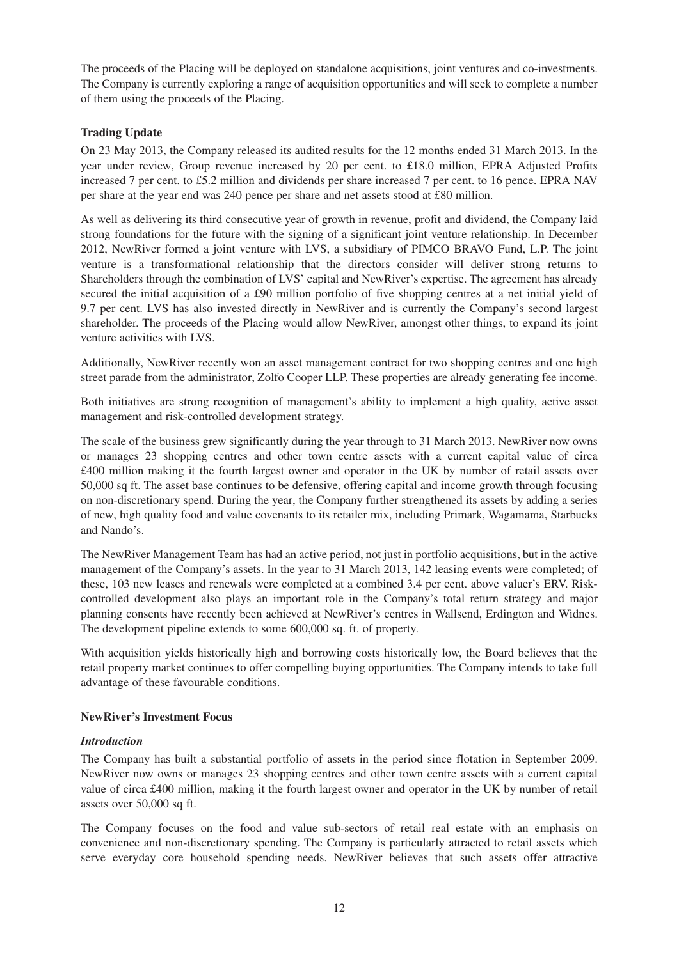The proceeds of the Placing will be deployed on standalone acquisitions, joint ventures and co-investments. The Company is currently exploring a range of acquisition opportunities and will seek to complete a number of them using the proceeds of the Placing.

### **Trading Update**

On 23 May 2013, the Company released its audited results for the 12 months ended 31 March 2013. In the year under review, Group revenue increased by 20 per cent. to £18.0 million, EPRA Adjusted Profits increased 7 per cent. to £5.2 million and dividends per share increased 7 per cent. to 16 pence. EPRA NAV per share at the year end was 240 pence per share and net assets stood at £80 million.

As well as delivering its third consecutive year of growth in revenue, profit and dividend, the Company laid strong foundations for the future with the signing of a significant joint venture relationship. In December 2012, NewRiver formed a joint venture with LVS, a subsidiary of PIMCO BRAVO Fund, L.P. The joint venture is a transformational relationship that the directors consider will deliver strong returns to Shareholders through the combination of LVS' capital and NewRiver's expertise. The agreement has already secured the initial acquisition of a £90 million portfolio of five shopping centres at a net initial yield of 9.7 per cent. LVS has also invested directly in NewRiver and is currently the Company's second largest shareholder. The proceeds of the Placing would allow NewRiver, amongst other things, to expand its joint venture activities with LVS.

Additionally, NewRiver recently won an asset management contract for two shopping centres and one high street parade from the administrator, Zolfo Cooper LLP. These properties are already generating fee income.

Both initiatives are strong recognition of management's ability to implement a high quality, active asset management and risk-controlled development strategy.

The scale of the business grew significantly during the year through to 31 March 2013. NewRiver now owns or manages 23 shopping centres and other town centre assets with a current capital value of circa £400 million making it the fourth largest owner and operator in the UK by number of retail assets over 50,000 sq ft. The asset base continues to be defensive, offering capital and income growth through focusing on non-discretionary spend. During the year, the Company further strengthened its assets by adding a series of new, high quality food and value covenants to its retailer mix, including Primark, Wagamama, Starbucks and Nando's.

The NewRiver Management Team has had an active period, not just in portfolio acquisitions, but in the active management of the Company's assets. In the year to 31 March 2013, 142 leasing events were completed; of these, 103 new leases and renewals were completed at a combined 3.4 per cent. above valuer's ERV. Riskcontrolled development also plays an important role in the Company's total return strategy and major planning consents have recently been achieved at NewRiver's centres in Wallsend, Erdington and Widnes. The development pipeline extends to some 600,000 sq. ft. of property.

With acquisition yields historically high and borrowing costs historically low, the Board believes that the retail property market continues to offer compelling buying opportunities. The Company intends to take full advantage of these favourable conditions.

#### **NewRiver's Investment Focus**

#### *Introduction*

The Company has built a substantial portfolio of assets in the period since flotation in September 2009. NewRiver now owns or manages 23 shopping centres and other town centre assets with a current capital value of circa £400 million, making it the fourth largest owner and operator in the UK by number of retail assets over 50,000 sq ft.

The Company focuses on the food and value sub-sectors of retail real estate with an emphasis on convenience and non-discretionary spending. The Company is particularly attracted to retail assets which serve everyday core household spending needs. NewRiver believes that such assets offer attractive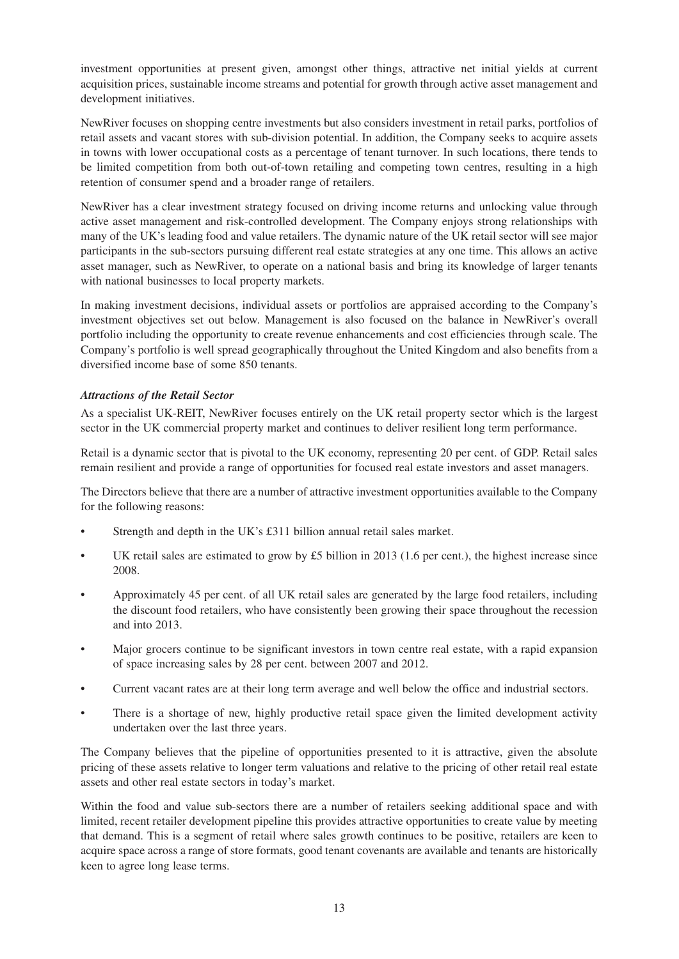investment opportunities at present given, amongst other things, attractive net initial yields at current acquisition prices, sustainable income streams and potential for growth through active asset management and development initiatives.

NewRiver focuses on shopping centre investments but also considers investment in retail parks, portfolios of retail assets and vacant stores with sub-division potential. In addition, the Company seeks to acquire assets in towns with lower occupational costs as a percentage of tenant turnover. In such locations, there tends to be limited competition from both out-of-town retailing and competing town centres, resulting in a high retention of consumer spend and a broader range of retailers.

NewRiver has a clear investment strategy focused on driving income returns and unlocking value through active asset management and risk-controlled development. The Company enjoys strong relationships with many of the UK's leading food and value retailers. The dynamic nature of the UK retail sector will see major participants in the sub-sectors pursuing different real estate strategies at any one time. This allows an active asset manager, such as NewRiver, to operate on a national basis and bring its knowledge of larger tenants with national businesses to local property markets.

In making investment decisions, individual assets or portfolios are appraised according to the Company's investment objectives set out below. Management is also focused on the balance in NewRiver's overall portfolio including the opportunity to create revenue enhancements and cost efficiencies through scale. The Company's portfolio is well spread geographically throughout the United Kingdom and also benefits from a diversified income base of some 850 tenants.

### *Attractions of the Retail Sector*

As a specialist UK-REIT, NewRiver focuses entirely on the UK retail property sector which is the largest sector in the UK commercial property market and continues to deliver resilient long term performance.

Retail is a dynamic sector that is pivotal to the UK economy, representing 20 per cent. of GDP. Retail sales remain resilient and provide a range of opportunities for focused real estate investors and asset managers.

The Directors believe that there are a number of attractive investment opportunities available to the Company for the following reasons:

- Strength and depth in the UK's £311 billion annual retail sales market.
- UK retail sales are estimated to grow by  $\pounds 5$  billion in 2013 (1.6 per cent.), the highest increase since 2008.
- Approximately 45 per cent. of all UK retail sales are generated by the large food retailers, including the discount food retailers, who have consistently been growing their space throughout the recession and into 2013.
- Major grocers continue to be significant investors in town centre real estate, with a rapid expansion of space increasing sales by 28 per cent. between 2007 and 2012.
- Current vacant rates are at their long term average and well below the office and industrial sectors.
- There is a shortage of new, highly productive retail space given the limited development activity undertaken over the last three years.

The Company believes that the pipeline of opportunities presented to it is attractive, given the absolute pricing of these assets relative to longer term valuations and relative to the pricing of other retail real estate assets and other real estate sectors in today's market.

Within the food and value sub-sectors there are a number of retailers seeking additional space and with limited, recent retailer development pipeline this provides attractive opportunities to create value by meeting that demand. This is a segment of retail where sales growth continues to be positive, retailers are keen to acquire space across a range of store formats, good tenant covenants are available and tenants are historically keen to agree long lease terms.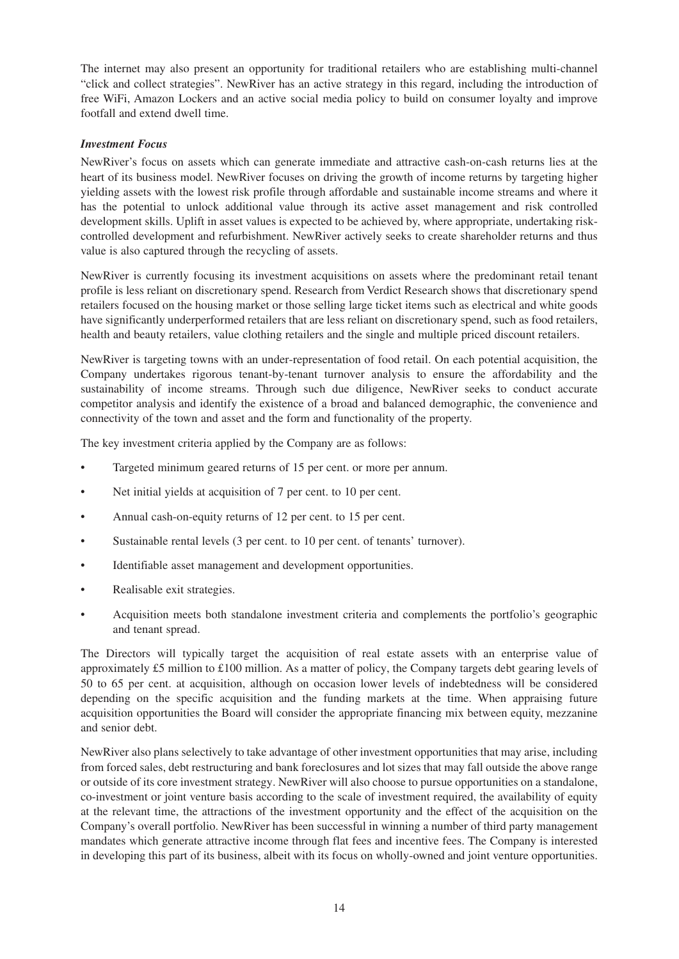The internet may also present an opportunity for traditional retailers who are establishing multi-channel "click and collect strategies". NewRiver has an active strategy in this regard, including the introduction of free WiFi, Amazon Lockers and an active social media policy to build on consumer loyalty and improve footfall and extend dwell time.

#### *Investment Focus*

NewRiver's focus on assets which can generate immediate and attractive cash-on-cash returns lies at the heart of its business model. NewRiver focuses on driving the growth of income returns by targeting higher yielding assets with the lowest risk profile through affordable and sustainable income streams and where it has the potential to unlock additional value through its active asset management and risk controlled development skills. Uplift in asset values is expected to be achieved by, where appropriate, undertaking riskcontrolled development and refurbishment. NewRiver actively seeks to create shareholder returns and thus value is also captured through the recycling of assets.

NewRiver is currently focusing its investment acquisitions on assets where the predominant retail tenant profile is less reliant on discretionary spend. Research from Verdict Research shows that discretionary spend retailers focused on the housing market or those selling large ticket items such as electrical and white goods have significantly underperformed retailers that are less reliant on discretionary spend, such as food retailers, health and beauty retailers, value clothing retailers and the single and multiple priced discount retailers.

NewRiver is targeting towns with an under-representation of food retail. On each potential acquisition, the Company undertakes rigorous tenant-by-tenant turnover analysis to ensure the affordability and the sustainability of income streams. Through such due diligence, NewRiver seeks to conduct accurate competitor analysis and identify the existence of a broad and balanced demographic, the convenience and connectivity of the town and asset and the form and functionality of the property.

The key investment criteria applied by the Company are as follows:

- Targeted minimum geared returns of 15 per cent. or more per annum.
- Net initial yields at acquisition of 7 per cent. to 10 per cent.
- Annual cash-on-equity returns of 12 per cent. to 15 per cent.
- Sustainable rental levels (3 per cent. to 10 per cent. of tenants' turnover).
- Identifiable asset management and development opportunities.
- Realisable exit strategies.
- Acquisition meets both standalone investment criteria and complements the portfolio's geographic and tenant spread.

The Directors will typically target the acquisition of real estate assets with an enterprise value of approximately £5 million to £100 million. As a matter of policy, the Company targets debt gearing levels of 50 to 65 per cent. at acquisition, although on occasion lower levels of indebtedness will be considered depending on the specific acquisition and the funding markets at the time. When appraising future acquisition opportunities the Board will consider the appropriate financing mix between equity, mezzanine and senior debt.

NewRiver also plans selectively to take advantage of other investment opportunities that may arise, including from forced sales, debt restructuring and bank foreclosures and lot sizes that may fall outside the above range or outside of its core investment strategy. NewRiver will also choose to pursue opportunities on a standalone, co-investment or joint venture basis according to the scale of investment required, the availability of equity at the relevant time, the attractions of the investment opportunity and the effect of the acquisition on the Company's overall portfolio. NewRiver has been successful in winning a number of third party management mandates which generate attractive income through flat fees and incentive fees. The Company is interested in developing this part of its business, albeit with its focus on wholly-owned and joint venture opportunities.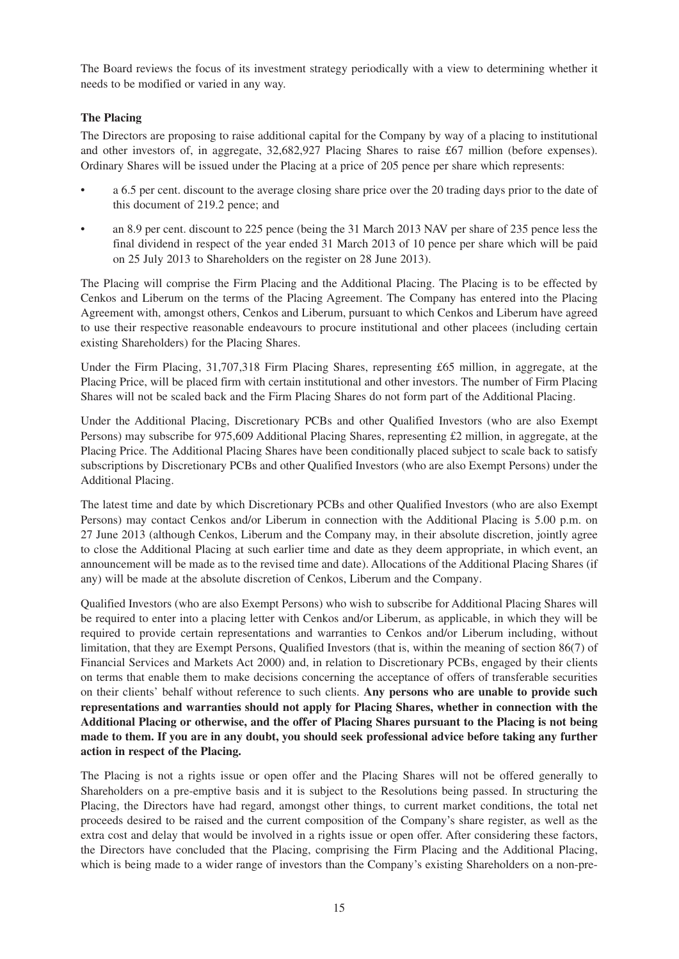The Board reviews the focus of its investment strategy periodically with a view to determining whether it needs to be modified or varied in any way.

### **The Placing**

The Directors are proposing to raise additional capital for the Company by way of a placing to institutional and other investors of, in aggregate, 32,682,927 Placing Shares to raise £67 million (before expenses). Ordinary Shares will be issued under the Placing at a price of 205 pence per share which represents:

- a 6.5 per cent. discount to the average closing share price over the 20 trading days prior to the date of this document of 219.2 pence; and
- an 8.9 per cent. discount to 225 pence (being the 31 March 2013 NAV per share of 235 pence less the final dividend in respect of the year ended 31 March 2013 of 10 pence per share which will be paid on 25 July 2013 to Shareholders on the register on 28 June 2013).

The Placing will comprise the Firm Placing and the Additional Placing. The Placing is to be effected by Cenkos and Liberum on the terms of the Placing Agreement. The Company has entered into the Placing Agreement with, amongst others, Cenkos and Liberum, pursuant to which Cenkos and Liberum have agreed to use their respective reasonable endeavours to procure institutional and other placees (including certain existing Shareholders) for the Placing Shares.

Under the Firm Placing, 31,707,318 Firm Placing Shares, representing £65 million, in aggregate, at the Placing Price, will be placed firm with certain institutional and other investors. The number of Firm Placing Shares will not be scaled back and the Firm Placing Shares do not form part of the Additional Placing.

Under the Additional Placing, Discretionary PCBs and other Qualified Investors (who are also Exempt Persons) may subscribe for 975,609 Additional Placing Shares, representing £2 million, in aggregate, at the Placing Price. The Additional Placing Shares have been conditionally placed subject to scale back to satisfy subscriptions by Discretionary PCBs and other Qualified Investors (who are also Exempt Persons) under the Additional Placing.

The latest time and date by which Discretionary PCBs and other Qualified Investors (who are also Exempt Persons) may contact Cenkos and/or Liberum in connection with the Additional Placing is 5.00 p.m. on 27 June 2013 (although Cenkos, Liberum and the Company may, in their absolute discretion, jointly agree to close the Additional Placing at such earlier time and date as they deem appropriate, in which event, an announcement will be made as to the revised time and date). Allocations of the Additional Placing Shares (if any) will be made at the absolute discretion of Cenkos, Liberum and the Company.

Qualified Investors (who are also Exempt Persons) who wish to subscribe for Additional Placing Shares will be required to enter into a placing letter with Cenkos and/or Liberum, as applicable, in which they will be required to provide certain representations and warranties to Cenkos and/or Liberum including, without limitation, that they are Exempt Persons, Qualified Investors (that is, within the meaning of section 86(7) of Financial Services and Markets Act 2000) and, in relation to Discretionary PCBs, engaged by their clients on terms that enable them to make decisions concerning the acceptance of offers of transferable securities on their clients' behalf without reference to such clients. **Any persons who are unable to provide such representations and warranties should not apply for Placing Shares, whether in connection with the Additional Placing or otherwise, and the offer of Placing Shares pursuant to the Placing is not being made to them. If you are in any doubt, you should seek professional advice before taking any further action in respect of the Placing.**

The Placing is not a rights issue or open offer and the Placing Shares will not be offered generally to Shareholders on a pre-emptive basis and it is subject to the Resolutions being passed. In structuring the Placing, the Directors have had regard, amongst other things, to current market conditions, the total net proceeds desired to be raised and the current composition of the Company's share register, as well as the extra cost and delay that would be involved in a rights issue or open offer. After considering these factors, the Directors have concluded that the Placing, comprising the Firm Placing and the Additional Placing, which is being made to a wider range of investors than the Company's existing Shareholders on a non-pre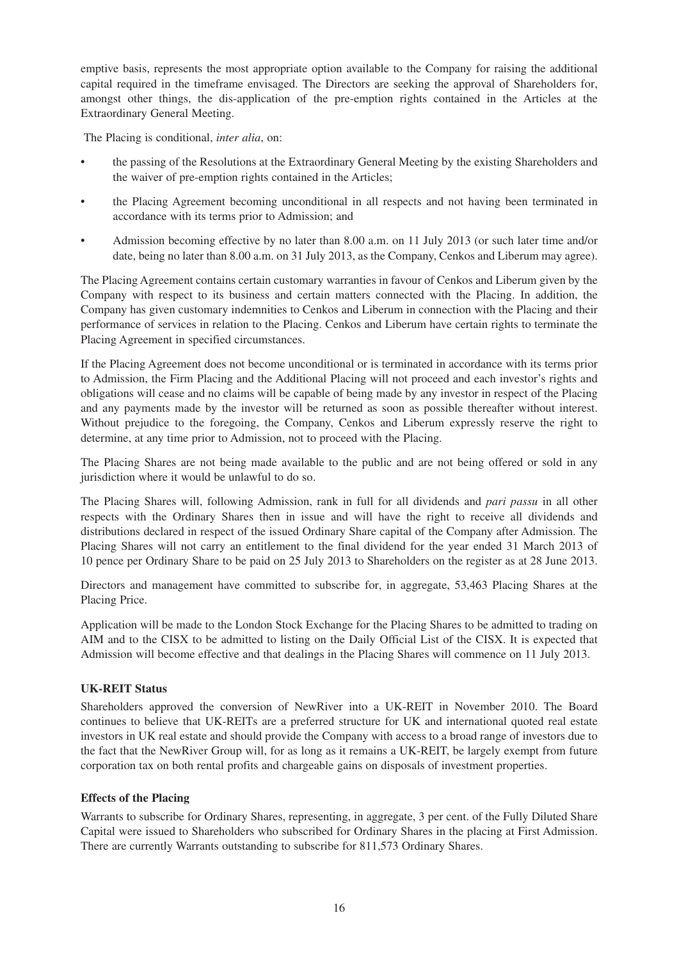emptive basis, represents the most appropriate option available to the Company for raising the additional capital required in the timeframe envisaged. The Directors are seeking the approval of Shareholders for, amongst other things, the dis-application of the pre-emption rights contained in the Articles at the Extraordinary General Meeting.

The Placing is conditional, *inter alia*, on:

- the passing of the Resolutions at the Extraordinary General Meeting by the existing Shareholders and the waiver of pre-emption rights contained in the Articles;
- the Placing Agreement becoming unconditional in all respects and not having been terminated in accordance with its terms prior to Admission; and
- Admission becoming effective by no later than 8.00 a.m. on 11 July 2013 (or such later time and/or date, being no later than 8.00 a.m. on 31 July 2013, as the Company, Cenkos and Liberum may agree).

The Placing Agreement contains certain customary warranties in favour of Cenkos and Liberum given by the Company with respect to its business and certain matters connected with the Placing. In addition, the Company has given customary indemnities to Cenkos and Liberum in connection with the Placing and their performance of services in relation to the Placing. Cenkos and Liberum have certain rights to terminate the Placing Agreement in specified circumstances.

If the Placing Agreement does not become unconditional or is terminated in accordance with its terms prior to Admission, the Firm Placing and the Additional Placing will not proceed and each investor's rights and obligations will cease and no claims will be capable of being made by any investor in respect of the Placing and any payments made by the investor will be returned as soon as possible thereafter without interest. Without prejudice to the foregoing, the Company, Cenkos and Liberum expressly reserve the right to determine, at any time prior to Admission, not to proceed with the Placing.

The Placing Shares are not being made available to the public and are not being offered or sold in any jurisdiction where it would be unlawful to do so.

The Placing Shares will, following Admission, rank in full for all dividends and *pari passu* in all other respects with the Ordinary Shares then in issue and will have the right to receive all dividends and distributions declared in respect of the issued Ordinary Share capital of the Company after Admission. The Placing Shares will not carry an entitlement to the final dividend for the year ended 31 March 2013 of 10 pence per Ordinary Share to be paid on 25 July 2013 to Shareholders on the register as at 28 June 2013.

Directors and management have committed to subscribe for, in aggregate, 53,463 Placing Shares at the Placing Price.

Application will be made to the London Stock Exchange for the Placing Shares to be admitted to trading on AIM and to the CISX to be admitted to listing on the Daily Official List of the CISX. It is expected that Admission will become effective and that dealings in the Placing Shares will commence on 11 July 2013.

#### **UK-REIT Status**

Shareholders approved the conversion of NewRiver into a UK-REIT in November 2010. The Board continues to believe that UK-REITs are a preferred structure for UK and international quoted real estate investors in UK real estate and should provide the Company with access to a broad range of investors due to the fact that the NewRiver Group will, for as long as it remains a UK-REIT, be largely exempt from future corporation tax on both rental profits and chargeable gains on disposals of investment properties.

#### **Effects of the Placing**

Warrants to subscribe for Ordinary Shares, representing, in aggregate, 3 per cent. of the Fully Diluted Share Capital were issued to Shareholders who subscribed for Ordinary Shares in the placing at First Admission. There are currently Warrants outstanding to subscribe for 811,573 Ordinary Shares.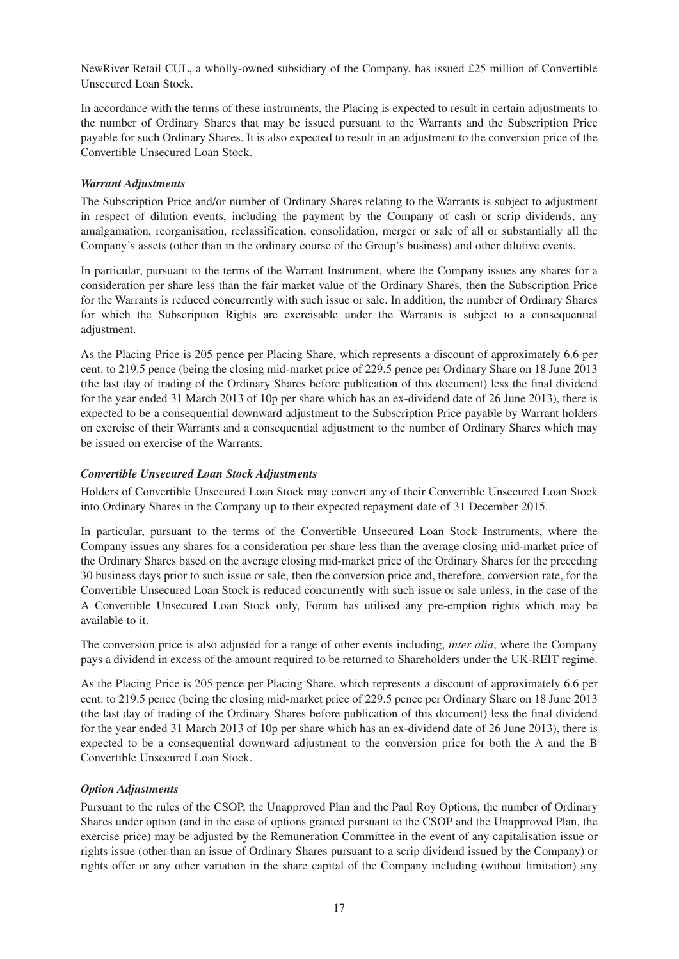NewRiver Retail CUL, a wholly-owned subsidiary of the Company, has issued £25 million of Convertible Unsecured Loan Stock.

In accordance with the terms of these instruments, the Placing is expected to result in certain adjustments to the number of Ordinary Shares that may be issued pursuant to the Warrants and the Subscription Price payable for such Ordinary Shares. It is also expected to result in an adjustment to the conversion price of the Convertible Unsecured Loan Stock.

#### *Warrant Adjustments*

The Subscription Price and/or number of Ordinary Shares relating to the Warrants is subject to adjustment in respect of dilution events, including the payment by the Company of cash or scrip dividends, any amalgamation, reorganisation, reclassification, consolidation, merger or sale of all or substantially all the Company's assets (other than in the ordinary course of the Group's business) and other dilutive events.

In particular, pursuant to the terms of the Warrant Instrument, where the Company issues any shares for a consideration per share less than the fair market value of the Ordinary Shares, then the Subscription Price for the Warrants is reduced concurrently with such issue or sale. In addition, the number of Ordinary Shares for which the Subscription Rights are exercisable under the Warrants is subject to a consequential adjustment.

As the Placing Price is 205 pence per Placing Share, which represents a discount of approximately 6.6 per cent. to 219.5 pence (being the closing mid-market price of 229.5 pence per Ordinary Share on 18 June 2013 (the last day of trading of the Ordinary Shares before publication of this document) less the final dividend for the year ended 31 March 2013 of 10p per share which has an ex-dividend date of 26 June 2013), there is expected to be a consequential downward adjustment to the Subscription Price payable by Warrant holders on exercise of their Warrants and a consequential adjustment to the number of Ordinary Shares which may be issued on exercise of the Warrants.

#### *Convertible Unsecured Loan Stock Adjustments*

Holders of Convertible Unsecured Loan Stock may convert any of their Convertible Unsecured Loan Stock into Ordinary Shares in the Company up to their expected repayment date of 31 December 2015.

In particular, pursuant to the terms of the Convertible Unsecured Loan Stock Instruments, where the Company issues any shares for a consideration per share less than the average closing mid-market price of the Ordinary Shares based on the average closing mid-market price of the Ordinary Shares for the preceding 30 business days prior to such issue or sale, then the conversion price and, therefore, conversion rate, for the Convertible Unsecured Loan Stock is reduced concurrently with such issue or sale unless, in the case of the A Convertible Unsecured Loan Stock only, Forum has utilised any pre-emption rights which may be available to it.

The conversion price is also adjusted for a range of other events including, *inter alia*, where the Company pays a dividend in excess of the amount required to be returned to Shareholders under the UK-REIT regime.

As the Placing Price is 205 pence per Placing Share, which represents a discount of approximately 6.6 per cent. to 219.5 pence (being the closing mid-market price of 229.5 pence per Ordinary Share on 18 June 2013 (the last day of trading of the Ordinary Shares before publication of this document) less the final dividend for the year ended 31 March 2013 of 10p per share which has an ex-dividend date of 26 June 2013), there is expected to be a consequential downward adjustment to the conversion price for both the A and the B Convertible Unsecured Loan Stock.

#### *Option Adjustments*

Pursuant to the rules of the CSOP, the Unapproved Plan and the Paul Roy Options, the number of Ordinary Shares under option (and in the case of options granted pursuant to the CSOP and the Unapproved Plan, the exercise price) may be adjusted by the Remuneration Committee in the event of any capitalisation issue or rights issue (other than an issue of Ordinary Shares pursuant to a scrip dividend issued by the Company) or rights offer or any other variation in the share capital of the Company including (without limitation) any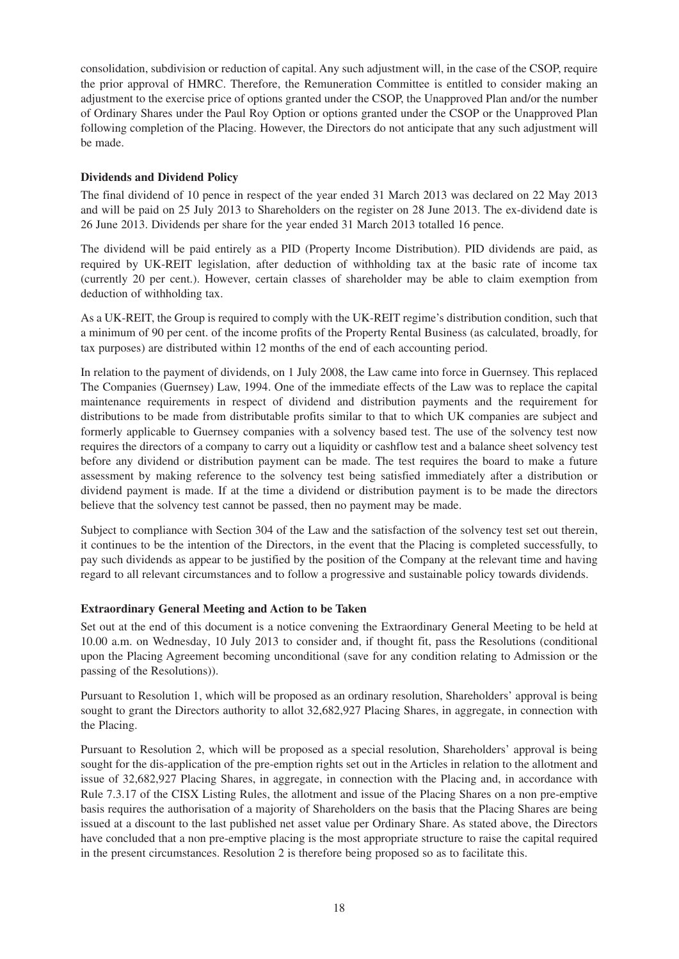consolidation, subdivision or reduction of capital. Any such adjustment will, in the case of the CSOP, require the prior approval of HMRC. Therefore, the Remuneration Committee is entitled to consider making an adjustment to the exercise price of options granted under the CSOP, the Unapproved Plan and/or the number of Ordinary Shares under the Paul Roy Option or options granted under the CSOP or the Unapproved Plan following completion of the Placing. However, the Directors do not anticipate that any such adjustment will be made.

### **Dividends and Dividend Policy**

The final dividend of 10 pence in respect of the year ended 31 March 2013 was declared on 22 May 2013 and will be paid on 25 July 2013 to Shareholders on the register on 28 June 2013. The ex-dividend date is 26 June 2013. Dividends per share for the year ended 31 March 2013 totalled 16 pence.

The dividend will be paid entirely as a PID (Property Income Distribution). PID dividends are paid, as required by UK-REIT legislation, after deduction of withholding tax at the basic rate of income tax (currently 20 per cent.). However, certain classes of shareholder may be able to claim exemption from deduction of withholding tax.

As a UK-REIT, the Group is required to comply with the UK-REIT regime's distribution condition, such that a minimum of 90 per cent. of the income profits of the Property Rental Business (as calculated, broadly, for tax purposes) are distributed within 12 months of the end of each accounting period.

In relation to the payment of dividends, on 1 July 2008, the Law came into force in Guernsey. This replaced The Companies (Guernsey) Law, 1994. One of the immediate effects of the Law was to replace the capital maintenance requirements in respect of dividend and distribution payments and the requirement for distributions to be made from distributable profits similar to that to which UK companies are subject and formerly applicable to Guernsey companies with a solvency based test. The use of the solvency test now requires the directors of a company to carry out a liquidity or cashflow test and a balance sheet solvency test before any dividend or distribution payment can be made. The test requires the board to make a future assessment by making reference to the solvency test being satisfied immediately after a distribution or dividend payment is made. If at the time a dividend or distribution payment is to be made the directors believe that the solvency test cannot be passed, then no payment may be made.

Subject to compliance with Section 304 of the Law and the satisfaction of the solvency test set out therein, it continues to be the intention of the Directors, in the event that the Placing is completed successfully, to pay such dividends as appear to be justified by the position of the Company at the relevant time and having regard to all relevant circumstances and to follow a progressive and sustainable policy towards dividends.

#### **Extraordinary General Meeting and Action to be Taken**

Set out at the end of this document is a notice convening the Extraordinary General Meeting to be held at 10.00 a.m. on Wednesday, 10 July 2013 to consider and, if thought fit, pass the Resolutions (conditional upon the Placing Agreement becoming unconditional (save for any condition relating to Admission or the passing of the Resolutions)).

Pursuant to Resolution 1, which will be proposed as an ordinary resolution, Shareholders' approval is being sought to grant the Directors authority to allot 32,682,927 Placing Shares, in aggregate, in connection with the Placing.

Pursuant to Resolution 2, which will be proposed as a special resolution, Shareholders' approval is being sought for the dis-application of the pre-emption rights set out in the Articles in relation to the allotment and issue of 32,682,927 Placing Shares, in aggregate, in connection with the Placing and, in accordance with Rule 7.3.17 of the CISX Listing Rules, the allotment and issue of the Placing Shares on a non pre-emptive basis requires the authorisation of a majority of Shareholders on the basis that the Placing Shares are being issued at a discount to the last published net asset value per Ordinary Share. As stated above, the Directors have concluded that a non pre-emptive placing is the most appropriate structure to raise the capital required in the present circumstances. Resolution 2 is therefore being proposed so as to facilitate this.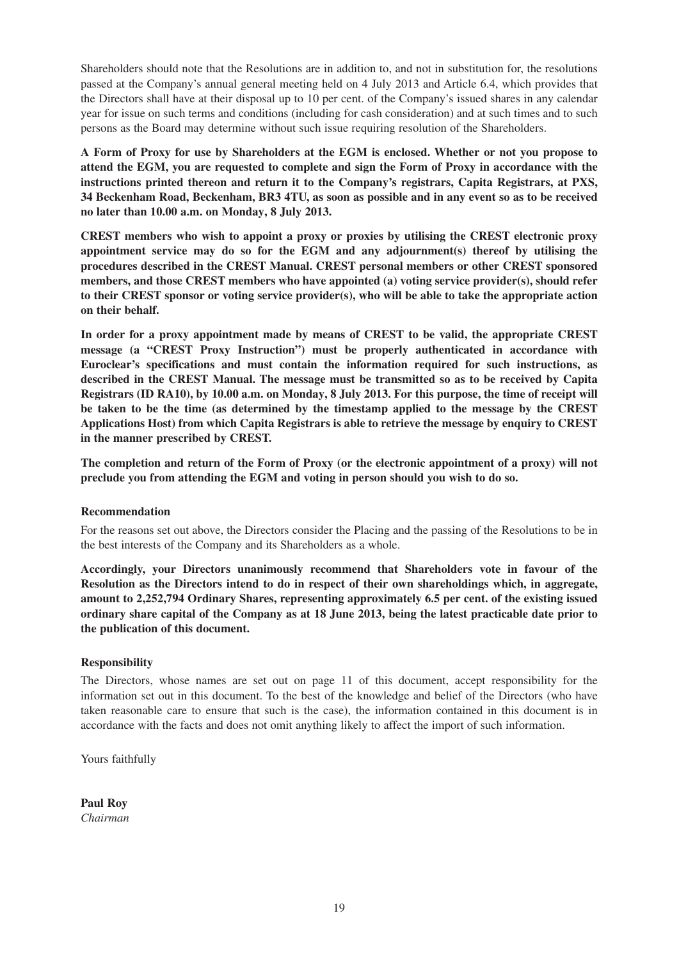Shareholders should note that the Resolutions are in addition to, and not in substitution for, the resolutions passed at the Company's annual general meeting held on 4 July 2013 and Article 6.4, which provides that the Directors shall have at their disposal up to 10 per cent. of the Company's issued shares in any calendar year for issue on such terms and conditions (including for cash consideration) and at such times and to such persons as the Board may determine without such issue requiring resolution of the Shareholders.

**A Form of Proxy for use by Shareholders at the EGM is enclosed. Whether or not you propose to attend the EGM, you are requested to complete and sign the Form of Proxy in accordance with the instructions printed thereon and return it to the Company's registrars, Capita Registrars, at PXS, 34 Beckenham Road, Beckenham, BR3 4TU, as soon as possible and in any event so as to be received no later than 10.00 a.m. on Monday, 8 July 2013.**

**CREST members who wish to appoint a proxy or proxies by utilising the CREST electronic proxy appointment service may do so for the EGM and any adjournment(s) thereof by utilising the procedures described in the CREST Manual. CREST personal members or other CREST sponsored members, and those CREST members who have appointed (a) voting service provider(s), should refer to their CREST sponsor or voting service provider(s), who will be able to take the appropriate action on their behalf.**

**In order for a proxy appointment made by means of CREST to be valid, the appropriate CREST message (a "CREST Proxy Instruction") must be properly authenticated in accordance with Euroclear's specifications and must contain the information required for such instructions, as described in the CREST Manual. The message must be transmitted so as to be received by Capita Registrars (ID RA10), by 10.00 a.m. on Monday, 8 July 2013. For this purpose, the time of receipt will be taken to be the time (as determined by the timestamp applied to the message by the CREST Applications Host) from which Capita Registrars is able to retrieve the message by enquiry to CREST in the manner prescribed by CREST.**

**The completion and return of the Form of Proxy (or the electronic appointment of a proxy) will not preclude you from attending the EGM and voting in person should you wish to do so.**

#### **Recommendation**

For the reasons set out above, the Directors consider the Placing and the passing of the Resolutions to be in the best interests of the Company and its Shareholders as a whole.

**Accordingly, your Directors unanimously recommend that Shareholders vote in favour of the Resolution as the Directors intend to do in respect of their own shareholdings which, in aggregate, amount to 2,252,794 Ordinary Shares, representing approximately 6.5 per cent. of the existing issued ordinary share capital of the Company as at 18 June 2013, being the latest practicable date prior to the publication of this document.**

#### **Responsibility**

The Directors, whose names are set out on page 11 of this document, accept responsibility for the information set out in this document. To the best of the knowledge and belief of the Directors (who have taken reasonable care to ensure that such is the case), the information contained in this document is in accordance with the facts and does not omit anything likely to affect the import of such information.

Yours faithfully

**Paul Roy** *Chairman*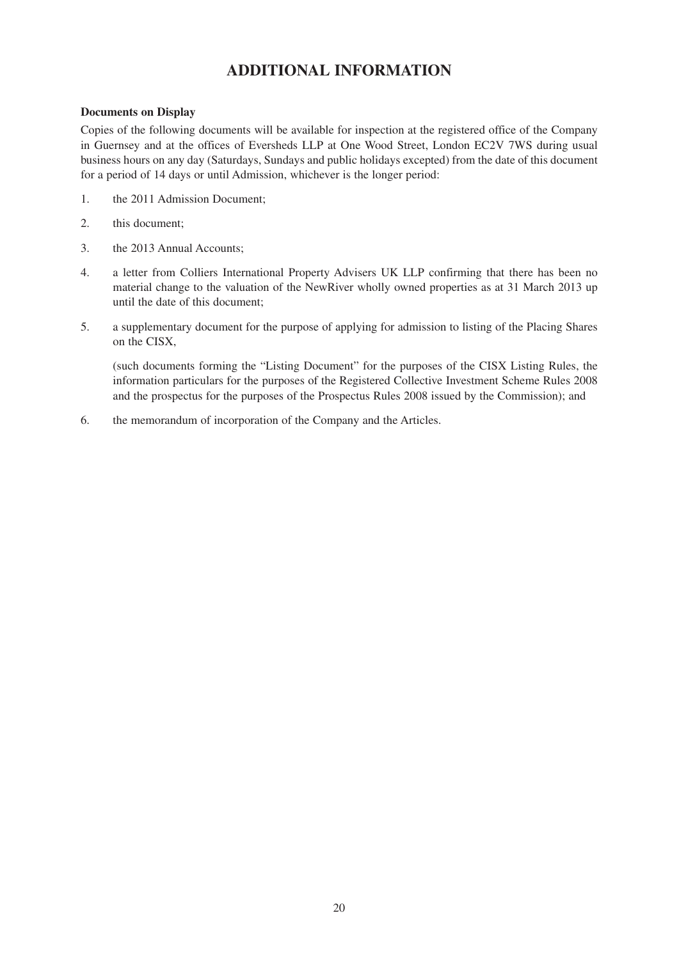## **ADDITIONAL INFORMATION**

#### **Documents on Display**

Copies of the following documents will be available for inspection at the registered office of the Company in Guernsey and at the offices of Eversheds LLP at One Wood Street, London EC2V 7WS during usual business hours on any day (Saturdays, Sundays and public holidays excepted) from the date of this document for a period of 14 days or until Admission, whichever is the longer period:

- 1. the 2011 Admission Document;
- 2. this document;
- 3. the 2013 Annual Accounts;
- 4. a letter from Colliers International Property Advisers UK LLP confirming that there has been no material change to the valuation of the NewRiver wholly owned properties as at 31 March 2013 up until the date of this document;
- 5. a supplementary document for the purpose of applying for admission to listing of the Placing Shares on the CISX,

 (such documents forming the "Listing Document" for the purposes of the CISX Listing Rules, the information particulars for the purposes of the Registered Collective Investment Scheme Rules 2008 and the prospectus for the purposes of the Prospectus Rules 2008 issued by the Commission); and

6. the memorandum of incorporation of the Company and the Articles.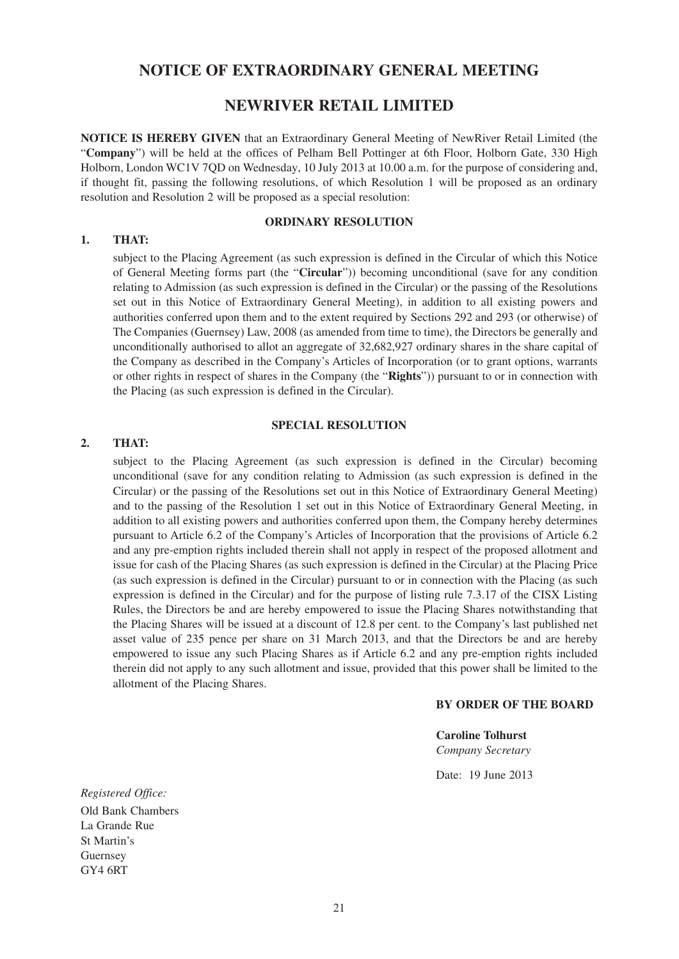### **NOTICE OF EXTRAORDINARY GENERAL MEETING**

### **NEWRIVER RETAIL LIMITED**

**NOTICE IS HEREBY GIVEN** that an Extraordinary General Meeting of NewRiver Retail Limited (the "**Company**") will be held at the offices of Pelham Bell Pottinger at 6th Floor, Holborn Gate, 330 High Holborn, London WC1V 7QD on Wednesday, 10 July 2013 at 10.00 a.m. for the purpose of considering and, if thought fit, passing the following resolutions, of which Resolution 1 will be proposed as an ordinary resolution and Resolution 2 will be proposed as a special resolution:

#### **ORDINARY RESOLUTION**

#### **1. THAT:**

subject to the Placing Agreement (as such expression is defined in the Circular of which this Notice of General Meeting forms part (the "**Circular**")) becoming unconditional (save for any condition relating to Admission (as such expression is defined in the Circular) or the passing of the Resolutions set out in this Notice of Extraordinary General Meeting), in addition to all existing powers and authorities conferred upon them and to the extent required by Sections 292 and 293 (or otherwise) of The Companies (Guernsey) Law, 2008 (as amended from time to time), the Directors be generally and unconditionally authorised to allot an aggregate of 32,682,927 ordinary shares in the share capital of the Company as described in the Company's Articles of Incorporation (or to grant options, warrants or other rights in respect of shares in the Company (the "**Rights**")) pursuant to or in connection with the Placing (as such expression is defined in the Circular).

#### **SPECIAL RESOLUTION**

#### **2. THAT:**

subject to the Placing Agreement (as such expression is defined in the Circular) becoming unconditional (save for any condition relating to Admission (as such expression is defined in the Circular) or the passing of the Resolutions set out in this Notice of Extraordinary General Meeting) and to the passing of the Resolution 1 set out in this Notice of Extraordinary General Meeting, in addition to all existing powers and authorities conferred upon them, the Company hereby determines pursuant to Article 6.2 of the Company's Articles of Incorporation that the provisions of Article 6.2 and any pre-emption rights included therein shall not apply in respect of the proposed allotment and issue for cash of the Placing Shares (as such expression is defined in the Circular) at the Placing Price (as such expression is defined in the Circular) pursuant to or in connection with the Placing (as such expression is defined in the Circular) and for the purpose of listing rule 7.3.17 of the CISX Listing Rules, the Directors be and are hereby empowered to issue the Placing Shares notwithstanding that the Placing Shares will be issued at a discount of 12.8 per cent. to the Company's last published net asset value of 235 pence per share on 31 March 2013, and that the Directors be and are hereby empowered to issue any such Placing Shares as if Article 6.2 and any pre-emption rights included therein did not apply to any such allotment and issue, provided that this power shall be limited to the allotment of the Placing Shares.

#### **BY ORDER OF THE BOARD**

**Caroline Tolhurst** *Company Secretary* 

Date: 19 June 2013

*Registered Office:* Old Bank Chambers La Grande Rue St Martin's Guernsey GY4 6RT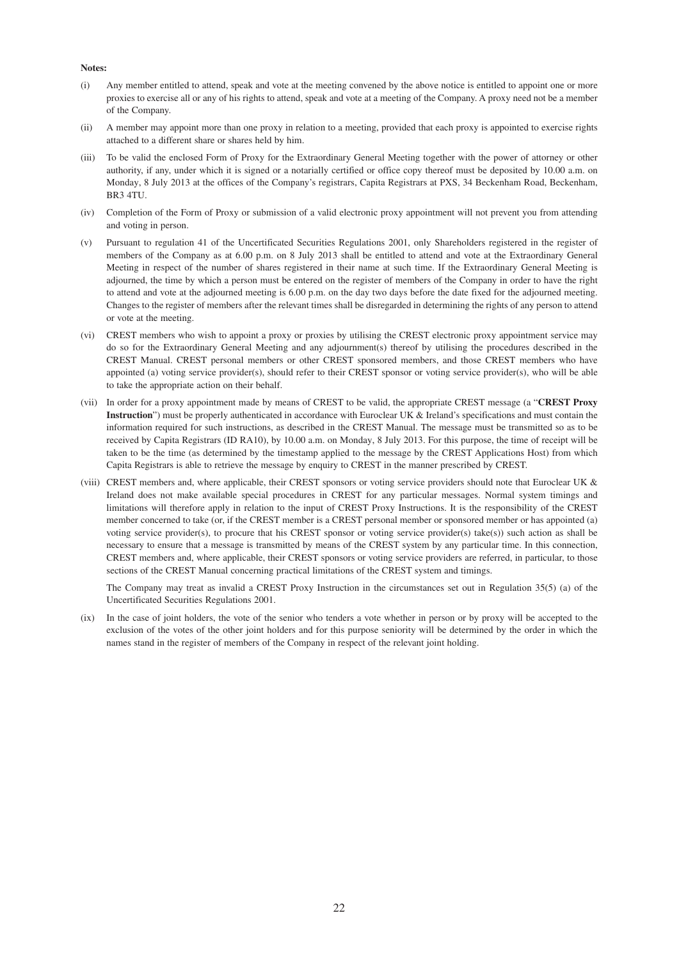#### **Notes:**

- (i) Any member entitled to attend, speak and vote at the meeting convened by the above notice is entitled to appoint one or more proxies to exercise all or any of his rights to attend, speak and vote at a meeting of the Company. A proxy need not be a member of the Company.
- (ii) A member may appoint more than one proxy in relation to a meeting, provided that each proxy is appointed to exercise rights attached to a different share or shares held by him.
- (iii) To be valid the enclosed Form of Proxy for the Extraordinary General Meeting together with the power of attorney or other authority, if any, under which it is signed or a notarially certified or office copy thereof must be deposited by 10.00 a.m. on Monday, 8 July 2013 at the offices of the Company's registrars, Capita Registrars at PXS, 34 Beckenham Road, Beckenham, BR3 4TU.
- (iv) Completion of the Form of Proxy or submission of a valid electronic proxy appointment will not prevent you from attending and voting in person.
- (v) Pursuant to regulation 41 of the Uncertificated Securities Regulations 2001, only Shareholders registered in the register of members of the Company as at 6.00 p.m. on 8 July 2013 shall be entitled to attend and vote at the Extraordinary General Meeting in respect of the number of shares registered in their name at such time. If the Extraordinary General Meeting is adjourned, the time by which a person must be entered on the register of members of the Company in order to have the right to attend and vote at the adjourned meeting is 6.00 p.m. on the day two days before the date fixed for the adjourned meeting. Changes to the register of members after the relevant times shall be disregarded in determining the rights of any person to attend or vote at the meeting.
- (vi) CREST members who wish to appoint a proxy or proxies by utilising the CREST electronic proxy appointment service may do so for the Extraordinary General Meeting and any adjournment(s) thereof by utilising the procedures described in the CREST Manual. CREST personal members or other CREST sponsored members, and those CREST members who have appointed (a) voting service provider(s), should refer to their CREST sponsor or voting service provider(s), who will be able to take the appropriate action on their behalf.
- (vii) In order for a proxy appointment made by means of CREST to be valid, the appropriate CREST message (a "**CREST Proxy Instruction**") must be properly authenticated in accordance with Euroclear UK & Ireland's specifications and must contain the information required for such instructions, as described in the CREST Manual. The message must be transmitted so as to be received by Capita Registrars (ID RA10), by 10.00 a.m. on Monday, 8 July 2013. For this purpose, the time of receipt will be taken to be the time (as determined by the timestamp applied to the message by the CREST Applications Host) from which Capita Registrars is able to retrieve the message by enquiry to CREST in the manner prescribed by CREST.
- (viii) CREST members and, where applicable, their CREST sponsors or voting service providers should note that Euroclear UK & Ireland does not make available special procedures in CREST for any particular messages. Normal system timings and limitations will therefore apply in relation to the input of CREST Proxy Instructions. It is the responsibility of the CREST member concerned to take (or, if the CREST member is a CREST personal member or sponsored member or has appointed (a) voting service provider(s), to procure that his CREST sponsor or voting service provider(s) take(s)) such action as shall be necessary to ensure that a message is transmitted by means of the CREST system by any particular time. In this connection, CREST members and, where applicable, their CREST sponsors or voting service providers are referred, in particular, to those sections of the CREST Manual concerning practical limitations of the CREST system and timings.

The Company may treat as invalid a CREST Proxy Instruction in the circumstances set out in Regulation 35(5) (a) of the Uncertificated Securities Regulations 2001.

(ix) In the case of joint holders, the vote of the senior who tenders a vote whether in person or by proxy will be accepted to the exclusion of the votes of the other joint holders and for this purpose seniority will be determined by the order in which the names stand in the register of members of the Company in respect of the relevant joint holding.